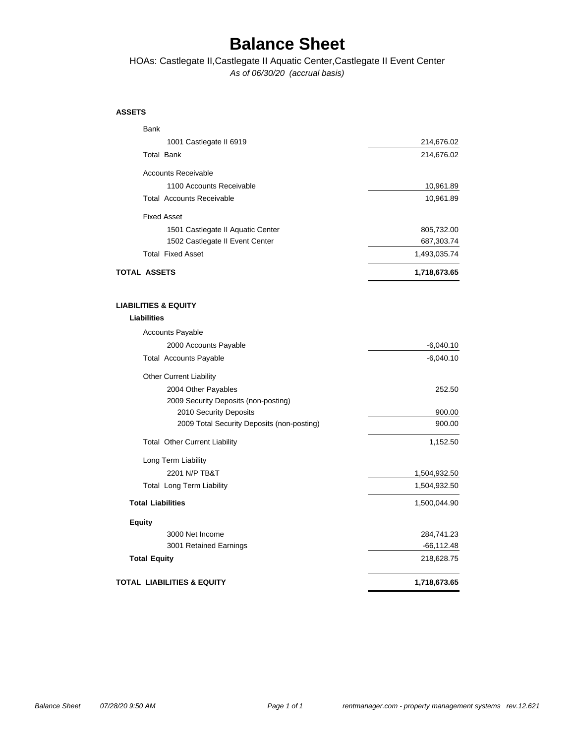### **Balance Sheet**

*As of 06/30/20 (accrual basis)* HOAs: Castlegate II,Castlegate II Aquatic Center,Castlegate II Event Center

#### **ASSETS**

| Bank                                                           |                            |
|----------------------------------------------------------------|----------------------------|
| 1001 Castlegate II 6919                                        | 214,676.02                 |
| <b>Total Bank</b>                                              | 214,676.02                 |
| <b>Accounts Receivable</b>                                     |                            |
| 1100 Accounts Receivable                                       | 10,961.89                  |
| <b>Total Accounts Receivable</b>                               | 10,961.89                  |
| <b>Fixed Asset</b>                                             |                            |
| 1501 Castlegate II Aquatic Center                              | 805,732.00                 |
| 1502 Castlegate II Event Center                                | 687,303.74                 |
| <b>Total Fixed Asset</b>                                       | 1,493,035.74               |
| <b>TOTAL ASSETS</b>                                            | 1,718,673.65               |
|                                                                |                            |
| <b>LIABILITIES &amp; EQUITY</b><br><b>Liabilities</b>          |                            |
|                                                                |                            |
| <b>Accounts Payable</b>                                        |                            |
| 2000 Accounts Payable<br><b>Total Accounts Payable</b>         | $-6,040.10$<br>$-6,040.10$ |
|                                                                |                            |
| <b>Other Current Liability</b>                                 |                            |
| 2004 Other Payables                                            | 252.50                     |
| 2009 Security Deposits (non-posting)<br>2010 Security Deposits | 900.00                     |
| 2009 Total Security Deposits (non-posting)                     | 900.00                     |
| <b>Total Other Current Liability</b>                           | 1,152.50                   |
| Long Term Liability                                            |                            |
| 2201 N/P TB&T                                                  | 1,504,932.50               |
| <b>Total Long Term Liability</b>                               | 1,504,932.50               |
| <b>Total Liabilities</b>                                       | 1,500,044.90               |
| <b>Equity</b>                                                  |                            |
| 3000 Net Income                                                | 284,741.23                 |
| 3001 Retained Earnings                                         | -66,112.48                 |
| <b>Total Equity</b>                                            | 218,628.75                 |
| <b>TOTAL LIABILITIES &amp; EQUITY</b>                          | 1,718,673.65               |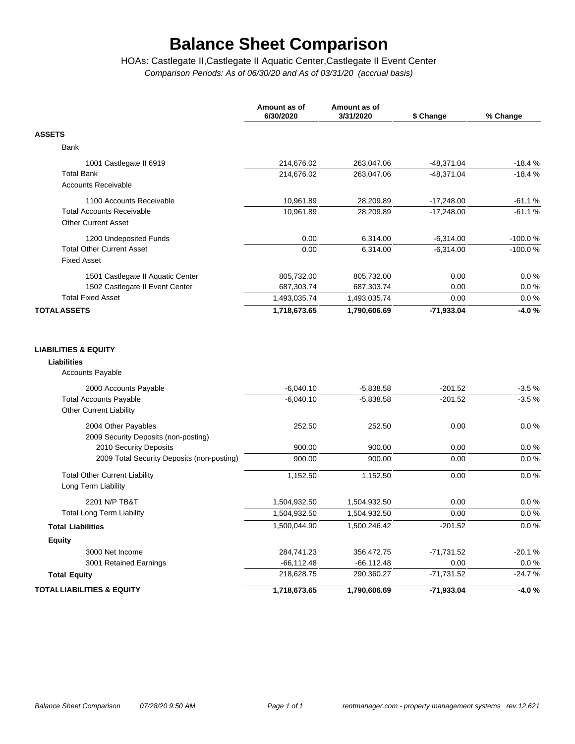# **Balance Sheet Comparison**

*Comparison Periods: As of 06/30/20 and As of 03/31/20 (accrual basis)* HOAs: Castlegate II,Castlegate II Aquatic Center,Castlegate II Event Center

|                                                                 | Amount as of<br>6/30/2020 | Amount as of<br>3/31/2020 | \$ Change    | % Change  |
|-----------------------------------------------------------------|---------------------------|---------------------------|--------------|-----------|
| <b>ASSETS</b>                                                   |                           |                           |              |           |
| Bank                                                            |                           |                           |              |           |
| 1001 Castlegate II 6919                                         | 214,676.02                | 263,047.06                | $-48,371.04$ | $-18.4%$  |
| <b>Total Bank</b>                                               | 214,676.02                | 263,047.06                | $-48,371.04$ | $-18.4%$  |
| <b>Accounts Receivable</b>                                      |                           |                           |              |           |
| 1100 Accounts Receivable                                        | 10,961.89                 | 28,209.89                 | $-17,248.00$ | $-61.1%$  |
| <b>Total Accounts Receivable</b>                                | 10,961.89                 | 28,209.89                 | $-17,248.00$ | $-61.1%$  |
| <b>Other Current Asset</b>                                      |                           |                           |              |           |
| 1200 Undeposited Funds                                          | 0.00                      | 6,314.00                  | $-6,314.00$  | $-100.0%$ |
| <b>Total Other Current Asset</b>                                | 0.00                      | 6,314.00                  | $-6,314.00$  | $-100.0%$ |
| <b>Fixed Asset</b>                                              |                           |                           |              |           |
| 1501 Castlegate II Aquatic Center                               | 805,732.00                | 805,732.00                | 0.00         | 0.0%      |
| 1502 Castlegate II Event Center                                 | 687,303.74                | 687,303.74                | 0.00         | 0.0%      |
| <b>Total Fixed Asset</b>                                        | 1,493,035.74              | 1,493,035.74              | 0.00         | 0.0%      |
| <b>TOTAL ASSETS</b>                                             | 1,718,673.65              | 1,790,606.69              | $-71,933.04$ | $-4.0%$   |
| Accounts Payable<br>2000 Accounts Payable                       | $-6,040.10$               | $-5,838.58$               | $-201.52$    | $-3.5%$   |
| <b>Total Accounts Payable</b><br><b>Other Current Liability</b> | $-6,040.10$               | $-5,838.58$               | $-201.52$    | $-3.5%$   |
| 2004 Other Payables<br>2009 Security Deposits (non-posting)     | 252.50                    | 252.50                    | 0.00         | $0.0\%$   |
| 2010 Security Deposits                                          | 900.00                    | 900.00                    | 0.00         | 0.0%      |
| 2009 Total Security Deposits (non-posting)                      | 900.00                    | 900.00                    | 0.00         | 0.0 %     |
| <b>Total Other Current Liability</b><br>Long Term Liability     | 1,152.50                  | 1,152.50                  | 0.00         | 0.0 %     |
| 2201 N/P TB&T                                                   | 1,504,932.50              | 1,504,932.50              | 0.00         | 0.0%      |
| <b>Total Long Term Liability</b>                                | 1,504,932.50              | 1,504,932.50              | 0.00         | 0.0%      |
| <b>Total Liabilities</b>                                        | 1,500,044.90              | 1,500,246.42              | $-201.52$    | 0.0 %     |
| <b>Equity</b>                                                   |                           |                           |              |           |
| 3000 Net Income                                                 | 284,741.23                | 356,472.75                | $-71,731.52$ | $-20.1%$  |
| 3001 Retained Earnings                                          | $-66, 112.48$             | $-66, 112.48$             | 0.00         | $0.0\%$   |
| <b>Total Equity</b>                                             | 218,628.75                | 290,360.27                | $-71,731.52$ | $-24.7%$  |
| <b>TOTAL LIABILITIES &amp; EQUITY</b>                           | 1,718,673.65              | 1,790,606.69              | $-71,933.04$ | $-4.0%$   |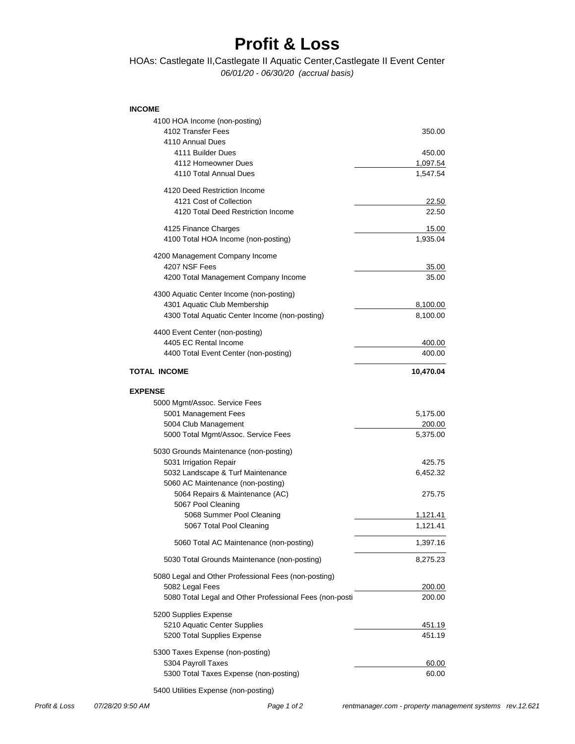### **Profit & Loss**

#### *06/01/20 - 06/30/20 (accrual basis)* HOAs: Castlegate II,Castlegate II Aquatic Center,Castlegate II Event Center

#### **INCOME**

| 4100 HOA Income (non-posting)<br>4102 Transfer Fees<br>4110 Annual Dues | 350.00           |
|-------------------------------------------------------------------------|------------------|
| 4111 Builder Dues                                                       | 450.00           |
| 4112 Homeowner Dues                                                     | 1,097.54         |
| 4110 Total Annual Dues                                                  | 1,547.54         |
| 4120 Deed Restriction Income                                            |                  |
| 4121 Cost of Collection                                                 | 22.50            |
| 4120 Total Deed Restriction Income                                      | 22.50            |
| 4125 Finance Charges                                                    | 15.00            |
| 4100 Total HOA Income (non-posting)                                     | 1,935.04         |
| 4200 Management Company Income                                          |                  |
| 4207 NSF Fees                                                           | 35.00            |
| 4200 Total Management Company Income                                    | 35.00            |
| 4300 Aquatic Center Income (non-posting)                                |                  |
| 4301 Aquatic Club Membership                                            | 8,100.00         |
| 4300 Total Aquatic Center Income (non-posting)                          | 8,100.00         |
| 4400 Event Center (non-posting)                                         |                  |
| 4405 EC Rental Income<br>4400 Total Event Center (non-posting)          | 400.00<br>400.00 |
|                                                                         |                  |
| <b>TOTAL INCOME</b>                                                     | 10,470.04        |
| <b>EXPENSE</b>                                                          |                  |
| 5000 Mgmt/Assoc. Service Fees                                           |                  |
| 5001 Management Fees                                                    | 5,175.00         |
| 5004 Club Management                                                    | 200.00           |
| 5000 Total Mgmt/Assoc. Service Fees                                     | 5,375.00         |
| 5030 Grounds Maintenance (non-posting)                                  |                  |
| 5031 Irrigation Repair                                                  | 425.75           |
| 5032 Landscape & Turf Maintenance<br>5060 AC Maintenance (non-posting)  | 6,452.32         |
| 5064 Repairs & Maintenance (AC)                                         | 275.75           |
| 5067 Pool Cleaning                                                      |                  |
| 5068 Summer Pool Cleaning                                               | <u>1,121.41</u>  |
| 5067 Total Pool Cleaning                                                | 1,121.41         |
| 5060 Total AC Maintenance (non-posting)                                 | 1,397.16         |
| 5030 Total Grounds Maintenance (non-posting)                            | 8,275.23         |
| 5080 Legal and Other Professional Fees (non-posting)                    |                  |
| 5082 Legal Fees                                                         | 200.00           |
| 5080 Total Legal and Other Professional Fees (non-posti                 | 200.00           |
| 5200 Supplies Expense                                                   |                  |
| 5210 Aquatic Center Supplies                                            | <u>451.19</u>    |
| 5200 Total Supplies Expense                                             | 451.19           |
| 5300 Taxes Expense (non-posting)                                        |                  |
| 5304 Payroll Taxes                                                      | 60.00            |
| 5300 Total Taxes Expense (non-posting)                                  | 60.00            |

5400 Utilities Expense (non-posting)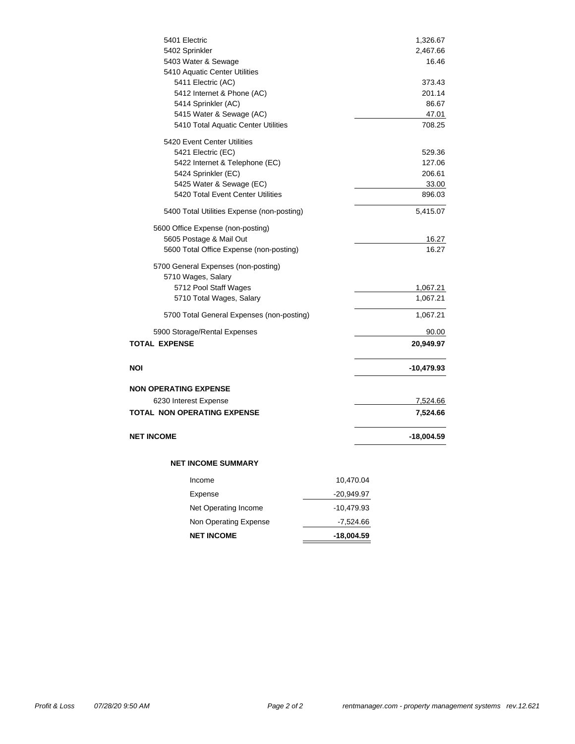| 5401 Electric                                                 |              | 1,326.67        |
|---------------------------------------------------------------|--------------|-----------------|
| 5402 Sprinkler                                                |              | 2,467.66        |
| 5403 Water & Sewage                                           |              | 16.46           |
| 5410 Aquatic Center Utilities                                 |              |                 |
| 5411 Electric (AC)                                            |              | 373.43          |
| 5412 Internet & Phone (AC)                                    |              | 201.14          |
| 5414 Sprinkler (AC)                                           |              | 86.67           |
| 5415 Water & Sewage (AC)                                      |              | 47.01           |
| 5410 Total Aquatic Center Utilities                           |              | 708.25          |
| 5420 Event Center Utilities                                   |              |                 |
| 5421 Electric (EC)                                            |              | 529.36          |
| 5422 Internet & Telephone (EC)                                |              | 127.06          |
| 5424 Sprinkler (EC)                                           |              | 206.61          |
| 5425 Water & Sewage (EC)<br>5420 Total Event Center Utilities |              | 33.00<br>896.03 |
|                                                               |              |                 |
| 5400 Total Utilities Expense (non-posting)                    |              | 5,415.07        |
| 5600 Office Expense (non-posting)                             |              |                 |
| 5605 Postage & Mail Out                                       |              | 16.27           |
| 5600 Total Office Expense (non-posting)                       |              | 16.27           |
| 5700 General Expenses (non-posting)                           |              |                 |
| 5710 Wages, Salary                                            |              |                 |
| 5712 Pool Staff Wages                                         |              | 1,067.21        |
| 5710 Total Wages, Salary                                      |              | 1,067.21        |
| 5700 Total General Expenses (non-posting)                     |              | 1,067.21        |
| 5900 Storage/Rental Expenses                                  |              | 90.00           |
| <b>TOTAL EXPENSE</b>                                          |              | 20,949.97       |
| NOI                                                           |              | -10,479.93      |
|                                                               |              |                 |
| <b>NON OPERATING EXPENSE</b>                                  |              |                 |
| 6230 Interest Expense                                         |              | 7,524.66        |
| <b>TOTAL NON OPERATING EXPENSE</b>                            |              | 7,524.66        |
| <b>NET INCOME</b>                                             |              | -18,004.59      |
| <b>NET INCOME SUMMARY</b>                                     |              |                 |
|                                                               |              |                 |
| Income                                                        | 10,470.04    |                 |
| Expense                                                       | -20,949.97   |                 |
| Net Operating Income                                          | $-10,479.93$ |                 |
| Non Operating Expense                                         | $-7,524.66$  |                 |
| <b>NET INCOME</b>                                             | $-18,004.59$ |                 |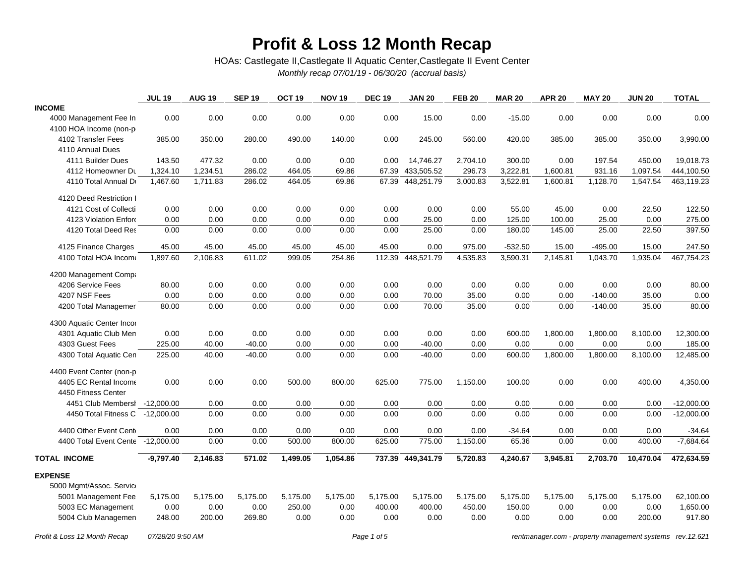### **Profit & Loss 12 Month Recap**

HOAs: Castlegate II,Castlegate II Aquatic Center,Castlegate II Event Center

*Monthly recap 07/01/19 - 06/30/20 (accrual basis)*

|                                   | <b>JUL 19</b> | <b>AUG 19</b> | <b>SEP 19</b> | OCT <sub>19</sub> | <b>NOV 19</b> | <b>DEC 19</b> | <b>JAN 20</b>     | <b>FEB 20</b> | <b>MAR 20</b> | <b>APR 20</b> | <b>MAY 20</b> | <b>JUN 20</b> | <b>TOTAL</b> |
|-----------------------------------|---------------|---------------|---------------|-------------------|---------------|---------------|-------------------|---------------|---------------|---------------|---------------|---------------|--------------|
| <b>INCOME</b>                     |               |               |               |                   |               |               |                   |               |               |               |               |               |              |
| 4000 Management Fee In            | 0.00          | 0.00          | 0.00          | 0.00              | 0.00          | 0.00          | 15.00             | 0.00          | $-15.00$      | 0.00          | 0.00          | 0.00          | 0.00         |
| 4100 HOA Income (non-p            |               |               |               |                   |               |               |                   |               |               |               |               |               |              |
| 4102 Transfer Fees                | 385.00        | 350.00        | 280.00        | 490.00            | 140.00        | 0.00          | 245.00            | 560.00        | 420.00        | 385.00        | 385.00        | 350.00        | 3,990.00     |
| 4110 Annual Dues                  |               |               |               |                   |               |               |                   |               |               |               |               |               |              |
| 4111 Builder Dues                 | 143.50        | 477.32        | 0.00          | 0.00              | 0.00          | 0.00          | 14,746.27         | 2,704.10      | 300.00        | 0.00          | 197.54        | 450.00        | 19,018.73    |
| 4112 Homeowner Du                 | 1,324.10      | 1,234.51      | 286.02        | 464.05            | 69.86         | 67.39         | 433,505.52        | 296.73        | 3,222.81      | 1,600.81      | 931.16        | 1,097.54      | 444,100.50   |
| 4110 Total Annual Dr              | 1,467.60      | 1,711.83      | 286.02        | 464.05            | 69.86         |               | 67.39 448,251.79  | 3,000.83      | 3,522.81      | 1,600.81      | 1,128.70      | 1,547.54      | 463,119.23   |
| 4120 Deed Restriction I           |               |               |               |                   |               |               |                   |               |               |               |               |               |              |
| 4121 Cost of Collecti             | 0.00          | 0.00          | 0.00          | 0.00              | 0.00          | 0.00          | 0.00              | 0.00          | 55.00         | 45.00         | 0.00          | 22.50         | 122.50       |
| 4123 Violation Enford             | 0.00          | 0.00          | 0.00          | 0.00              | 0.00          | 0.00          | 25.00             | 0.00          | 125.00        | 100.00        | 25.00         | 0.00          | 275.00       |
| 4120 Total Deed Res               | 0.00          | 0.00          | 0.00          | 0.00              | 0.00          | 0.00          | 25.00             | 0.00          | 180.00        | 145.00        | 25.00         | 22.50         | 397.50       |
| 4125 Finance Charges              | 45.00         | 45.00         | 45.00         | 45.00             | 45.00         | 45.00         | 0.00              | 975.00        | $-532.50$     | 15.00         | $-495.00$     | 15.00         | 247.50       |
| 4100 Total HOA Income             | 1,897.60      | 2,106.83      | 611.02        | 999.05            | 254.86        |               | 112.39 448,521.79 | 4,535.83      | 3,590.31      | 2,145.81      | 1,043.70      | 1,935.04      | 467,754.23   |
| 4200 Management Compa             |               |               |               |                   |               |               |                   |               |               |               |               |               |              |
| 4206 Service Fees                 | 80.00         | 0.00          | 0.00          | 0.00              | 0.00          | 0.00          | 0.00              | 0.00          | 0.00          | 0.00          | 0.00          | 0.00          | 80.00        |
| 4207 NSF Fees                     | 0.00          | 0.00          | 0.00          | 0.00              | 0.00          | 0.00          | 70.00             | 35.00         | 0.00          | 0.00          | $-140.00$     | 35.00         | 0.00         |
| 4200 Total Managemer              | 80.00         | 0.00          | 0.00          | 0.00              | 0.00          | 0.00          | 70.00             | 35.00         | 0.00          | 0.00          | $-140.00$     | 35.00         | 80.00        |
| 4300 Aquatic Center Incor         |               |               |               |                   |               |               |                   |               |               |               |               |               |              |
| 4301 Aquatic Club Men             | 0.00          | 0.00          | 0.00          | 0.00              | 0.00          | 0.00          | 0.00              | 0.00          | 600.00        | 1,800.00      | 1,800.00      | 8,100.00      | 12,300.00    |
| 4303 Guest Fees                   | 225.00        | 40.00         | $-40.00$      | 0.00              | 0.00          | 0.00          | $-40.00$          | 0.00          | 0.00          | 0.00          | 0.00          | 0.00          | 185.00       |
| 4300 Total Aquatic Cen            | 225.00        | 40.00         | $-40.00$      | 0.00              | 0.00          | 0.00          | $-40.00$          | 0.00          | 600.00        | 1,800.00      | 1,800.00      | 8,100.00      | 12,485.00    |
| 4400 Event Center (non-p          |               |               |               |                   |               |               |                   |               |               |               |               |               |              |
| 4405 EC Rental Income             | 0.00          | 0.00          | 0.00          | 500.00            | 800.00        | 625.00        | 775.00            | 1,150.00      | 100.00        | 0.00          | 0.00          | 400.00        | 4,350.00     |
| 4450 Fitness Center               |               |               |               |                   |               |               |                   |               |               |               |               |               |              |
| 4451 Club Membersl -12,000.00     |               | 0.00          | 0.00          | 0.00              | 0.00          | 0.00          | 0.00              | 0.00          | 0.00          | 0.00          | 0.00          | 0.00          | $-12,000.00$ |
| 4450 Total Fitness C -12,000.00   |               | 0.00          | 0.00          | 0.00              | 0.00          | 0.00          | 0.00              | 0.00          | 0.00          | 0.00          | 0.00          | 0.00          | $-12,000.00$ |
| 4400 Other Event Cent             | 0.00          | 0.00          | 0.00          | 0.00              | 0.00          | 0.00          | 0.00              | 0.00          | $-34.64$      | 0.00          | 0.00          | 0.00          | $-34.64$     |
| 4400 Total Event Cente -12,000.00 |               | 0.00          | 0.00          | 500.00            | 800.00        | 625.00        | 775.00            | 1,150.00      | 65.36         | 0.00          | 0.00          | 400.00        | $-7,684.64$  |
| <b>TOTAL INCOME</b>               | $-9,797.40$   | 2,146.83      | 571.02        | 1,499.05          | 1,054.86      |               | 737.39 449,341.79 | 5,720.83      | 4,240.67      | 3,945.81      | 2,703.70      | 10,470.04     | 472,634.59   |
| <b>EXPENSE</b>                    |               |               |               |                   |               |               |                   |               |               |               |               |               |              |
| 5000 Mgmt/Assoc. Service          |               |               |               |                   |               |               |                   |               |               |               |               |               |              |
| 5001 Management Fee               | 5,175.00      | 5,175.00      | 5,175.00      | 5,175.00          | 5,175.00      | 5,175.00      | 5,175.00          | 5,175.00      | 5,175.00      | 5,175.00      | 5,175.00      | 5,175.00      | 62,100.00    |
| 5003 EC Management                | 0.00          | 0.00          | 0.00          | 250.00            | 0.00          | 400.00        | 400.00            | 450.00        | 150.00        | 0.00          | 0.00          | 0.00          | 1,650.00     |
| 5004 Club Managemen               | 248.00        | 200.00        | 269.80        | 0.00              | 0.00          | 0.00          | 0.00              | 0.00          | 0.00          | 0.00          | 0.00          | 200.00        | 917.80       |
|                                   |               |               |               |                   |               |               |                   |               |               |               |               |               |              |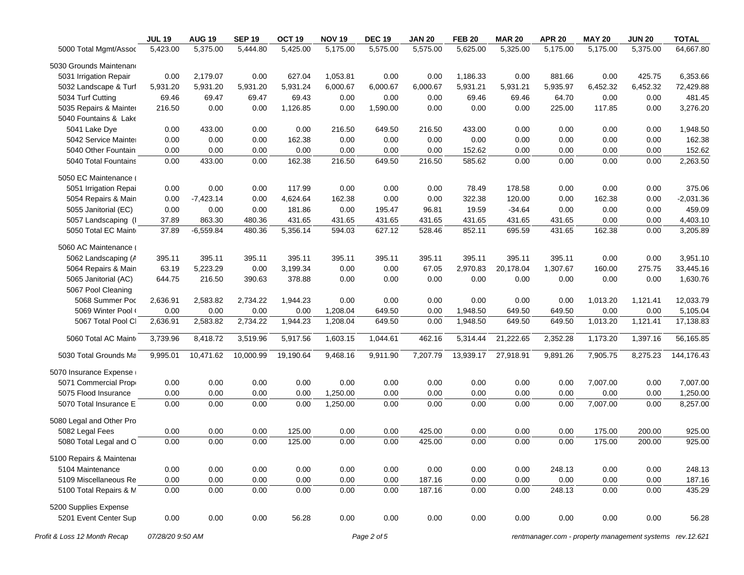|                              | <b>JUL 19</b>    | <b>AUG 19</b> | <b>SEP 19</b> | OCT <sub>19</sub> | <b>NOV 19</b> | <b>DEC 19</b> | <b>JAN 20</b> | <b>FEB 20</b> | <b>MAR 20</b> | <b>APR 20</b> | <b>MAY 20</b> | <b>JUN 20</b>                                            | <b>TOTAL</b> |
|------------------------------|------------------|---------------|---------------|-------------------|---------------|---------------|---------------|---------------|---------------|---------------|---------------|----------------------------------------------------------|--------------|
| 5000 Total Mgmt/Assoc        | 5,423.00         | 5,375.00      | 5,444.80      | 5,425.00          | 5,175.00      | 5,575.00      | 5,575.00      | 5,625.00      | 5,325.00      | 5,175.00      | 5,175.00      | 5,375.00                                                 | 64,667.80    |
| 5030 Grounds Maintenano      |                  |               |               |                   |               |               |               |               |               |               |               |                                                          |              |
| 5031 Irrigation Repair       | 0.00             | 2,179.07      | 0.00          | 627.04            | 1,053.81      | 0.00          | 0.00          | 1,186.33      | 0.00          | 881.66        | 0.00          | 425.75                                                   | 6,353.66     |
| 5032 Landscape & Turf        | 5,931.20         | 5,931.20      | 5,931.20      | 5,931.24          | 6,000.67      | 6,000.67      | 6,000.67      | 5,931.21      | 5,931.21      | 5,935.97      | 6,452.32      | 6,452.32                                                 | 72,429.88    |
| 5034 Turf Cutting            | 69.46            | 69.47         | 69.47         | 69.43             | 0.00          | 0.00          | 0.00          | 69.46         | 69.46         | 64.70         | 0.00          | 0.00                                                     | 481.45       |
| 5035 Repairs & Mainter       | 216.50           | 0.00          | 0.00          | 1,126.85          | 0.00          | 1,590.00      | 0.00          | 0.00          | 0.00          | 225.00        | 117.85        | 0.00                                                     | 3,276.20     |
| 5040 Fountains & Lake        |                  |               |               |                   |               |               |               |               |               |               |               |                                                          |              |
| 5041 Lake Dye                | 0.00             | 433.00        | 0.00          | 0.00              | 216.50        | 649.50        | 216.50        | 433.00        | 0.00          | 0.00          | 0.00          | 0.00                                                     | 1,948.50     |
| 5042 Service Mainter         | 0.00             | 0.00          | 0.00          | 162.38            | 0.00          | 0.00          | 0.00          | 0.00          | 0.00          | 0.00          | 0.00          | 0.00                                                     | 162.38       |
| 5040 Other Fountain          | 0.00             | 0.00          | 0.00          | 0.00              | 0.00          | 0.00          | 0.00          | 152.62        | 0.00          | 0.00          | 0.00          | 0.00                                                     | 152.62       |
| 5040 Total Fountains         | 0.00             | 433.00        | 0.00          | 162.38            | 216.50        | 649.50        | 216.50        | 585.62        | 0.00          | 0.00          | 0.00          | 0.00                                                     | 2,263.50     |
| 5050 EC Maintenance (        |                  |               |               |                   |               |               |               |               |               |               |               |                                                          |              |
| 5051 Irrigation Repai        | 0.00             | 0.00          | 0.00          | 117.99            | 0.00          | 0.00          | 0.00          | 78.49         | 178.58        | 0.00          | 0.00          | 0.00                                                     | 375.06       |
| 5054 Repairs & Main          | 0.00             | $-7,423.14$   | 0.00          | 4,624.64          | 162.38        | 0.00          | 0.00          | 322.38        | 120.00        | 0.00          | 162.38        | 0.00                                                     | $-2,031.36$  |
| 5055 Janitorial (EC)         | 0.00             | 0.00          | 0.00          | 181.86            | 0.00          | 195.47        | 96.81         | 19.59         | $-34.64$      | 0.00          | 0.00          | 0.00                                                     | 459.09       |
| 5057 Landscaping (I          | 37.89            | 863.30        | 480.36        | 431.65            | 431.65        | 431.65        | 431.65        | 431.65        | 431.65        | 431.65        | 0.00          | 0.00                                                     | 4,403.10     |
| 5050 Total EC Maint          | 37.89            | $-6,559.84$   | 480.36        | 5,356.14          | 594.03        | 627.12        | 528.46        | 852.11        | 695.59        | 431.65        | 162.38        | 0.00                                                     | 3,205.89     |
| 5060 AC Maintenance (        |                  |               |               |                   |               |               |               |               |               |               |               |                                                          |              |
| 5062 Landscaping (A          | 395.11           | 395.11        | 395.11        | 395.11            | 395.11        | 395.11        | 395.11        | 395.11        | 395.11        | 395.11        | 0.00          | 0.00                                                     | 3,951.10     |
| 5064 Repairs & Main          | 63.19            | 5,223.29      | 0.00          | 3,199.34          | 0.00          | 0.00          | 67.05         | 2,970.83      | 20,178.04     | 1.307.67      | 160.00        | 275.75                                                   | 33,445.16    |
| 5065 Janitorial (AC)         | 644.75           | 216.50        | 390.63        | 378.88            | 0.00          | 0.00          | 0.00          | 0.00          | 0.00          | 0.00          | 0.00          | 0.00                                                     | 1,630.76     |
| 5067 Pool Cleaning           |                  |               |               |                   |               |               |               |               |               |               |               |                                                          |              |
| 5068 Summer Poc              | 2,636.91         | 2,583.82      | 2,734.22      | 1,944.23          | 0.00          | 0.00          | 0.00          | 0.00          | 0.00          | 0.00          | 1,013.20      | 1,121.41                                                 | 12,033.79    |
| 5069 Winter Pool (           | 0.00             | 0.00          | 0.00          | 0.00              | 1,208.04      | 649.50        | 0.00          | 1,948.50      | 649.50        | 649.50        | 0.00          | 0.00                                                     | 5,105.04     |
| 5067 Total Pool Cl           | 2,636.91         | 2,583.82      | 2,734.22      | 1,944.23          | 1,208.04      | 649.50        | 0.00          | 1,948.50      | 649.50        | 649.50        | 1,013.20      | 1,121.41                                                 | 17,138.83    |
| 5060 Total AC Maint          | 3,739.96         | 8,418.72      | 3,519.96      | 5,917.56          | 1,603.15      | 1,044.61      | 462.16        | 5,314.44      | 21,222.65     | 2,352.28      | 1,173.20      | 1,397.16                                                 | 56,165.85    |
| 5030 Total Grounds Ma        | 9,995.01         | 10,471.62     | 10,000.99     | 19,190.64         | 9,468.16      | 9,911.90      | 7,207.79      | 13,939.17     | 27,918.91     | 9,891.26      | 7,905.75      | 8,275.23                                                 | 144,176.43   |
| 5070 Insurance Expense       |                  |               |               |                   |               |               |               |               |               |               |               |                                                          |              |
| 5071 Commercial Prope        | 0.00             | 0.00          | 0.00          | 0.00              | 0.00          | 0.00          | 0.00          | 0.00          | 0.00          | 0.00          | 7,007.00      | 0.00                                                     | 7,007.00     |
| 5075 Flood Insurance         | 0.00             | 0.00          | 0.00          | 0.00              | 1,250.00      | 0.00          | 0.00          | 0.00          | 0.00          | 0.00          | 0.00          | 0.00                                                     | 1,250.00     |
| 5070 Total Insurance E       | 0.00             | 0.00          | 0.00          | 0.00              | 1,250.00      | 0.00          | 0.00          | 0.00          | 0.00          | 0.00          | 7,007.00      | 0.00                                                     | 8,257.00     |
| 5080 Legal and Other Pro     |                  |               |               |                   |               |               |               |               |               |               |               |                                                          |              |
| 5082 Legal Fees              | 0.00             | 0.00          | 0.00          | 125.00            | 0.00          | 0.00          | 425.00        | 0.00          | 0.00          | 0.00          | 175.00        | 200.00                                                   | 925.00       |
| 5080 Total Legal and O       | 0.00             | 0.00          | 0.00          | 125.00            | 0.00          | 0.00          | 425.00        | 0.00          | 0.00          | 0.00          | 175.00        | 200.00                                                   | 925.00       |
| 5100 Repairs & Maintenar     |                  |               |               |                   |               |               |               |               |               |               |               |                                                          |              |
| 5104 Maintenance             | 0.00             | 0.00          | 0.00          | 0.00              | 0.00          | 0.00          | 0.00          | 0.00          | 0.00          | 248.13        | 0.00          | 0.00                                                     | 248.13       |
| 5109 Miscellaneous Re        | 0.00             | 0.00          | 0.00          | 0.00              | 0.00          | 0.00          | 187.16        | 0.00          | 0.00          | 0.00          | 0.00          | 0.00                                                     | 187.16       |
| 5100 Total Repairs & M       | 0.00             | 0.00          | 0.00          | 0.00              | 0.00          | 0.00          | 187.16        | 0.00          | 0.00          | 248.13        | 0.00          | 0.00                                                     | 435.29       |
| 5200 Supplies Expense        |                  |               |               |                   |               |               |               |               |               |               |               |                                                          |              |
| 5201 Event Center Sup        | 0.00             | 0.00          | 0.00          | 56.28             | 0.00          | 0.00          | 0.00          | 0.00          | 0.00          | 0.00          | 0.00          | 0.00                                                     | 56.28        |
| Profit & Loss 12 Month Recap | 07/28/20 9:50 AM |               |               |                   |               | Page 2 of 5   |               |               |               |               |               | rentmanager.com - property management systems rev.12.621 |              |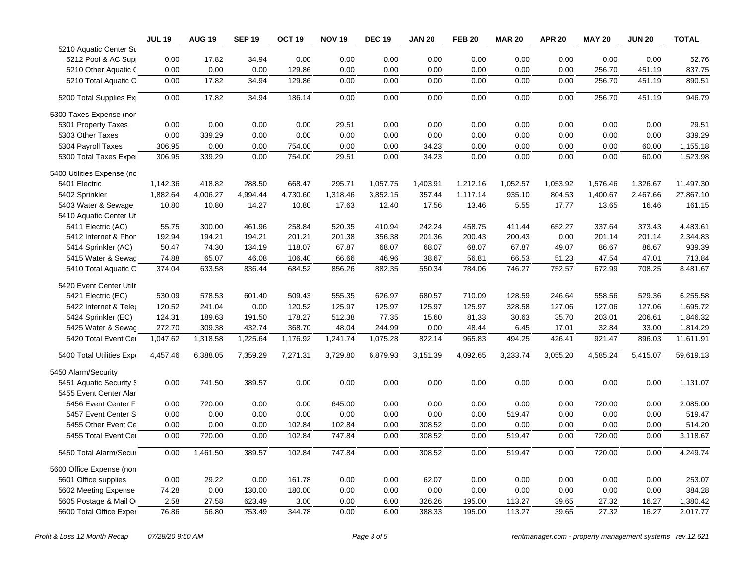|                            | <b>JUL 19</b> | <b>AUG 19</b> | <b>SEP 19</b> | OCT <sub>19</sub> | <b>NOV 19</b> | <b>DEC 19</b> | <b>JAN 20</b> | <b>FEB 20</b> | <b>MAR 20</b> | <b>APR 20</b> | <b>MAY 20</b> | <b>JUN 20</b> | <b>TOTAL</b> |
|----------------------------|---------------|---------------|---------------|-------------------|---------------|---------------|---------------|---------------|---------------|---------------|---------------|---------------|--------------|
| 5210 Aquatic Center Su     |               |               |               |                   |               |               |               |               |               |               |               |               |              |
| 5212 Pool & AC Sup         | 0.00          | 17.82         | 34.94         | 0.00              | 0.00          | 0.00          | 0.00          | 0.00          | 0.00          | 0.00          | 0.00          | 0.00          | 52.76        |
| 5210 Other Aquatic (       | 0.00          | 0.00          | 0.00          | 129.86            | 0.00          | 0.00          | 0.00          | 0.00          | 0.00          | 0.00          | 256.70        | 451.19        | 837.75       |
| 5210 Total Aquatic C       | 0.00          | 17.82         | 34.94         | 129.86            | 0.00          | 0.00          | 0.00          | 0.00          | 0.00          | 0.00          | 256.70        | 451.19        | 890.51       |
| 5200 Total Supplies Ex     | 0.00          | 17.82         | 34.94         | 186.14            | 0.00          | 0.00          | 0.00          | 0.00          | 0.00          | 0.00          | 256.70        | 451.19        | 946.79       |
| 5300 Taxes Expense (nor    |               |               |               |                   |               |               |               |               |               |               |               |               |              |
| 5301 Property Taxes        | 0.00          | 0.00          | 0.00          | 0.00              | 29.51         | 0.00          | 0.00          | 0.00          | 0.00          | 0.00          | 0.00          | 0.00          | 29.51        |
| 5303 Other Taxes           | 0.00          | 339.29        | 0.00          | 0.00              | 0.00          | 0.00          | 0.00          | 0.00          | 0.00          | 0.00          | 0.00          | 0.00          | 339.29       |
| 5304 Payroll Taxes         | 306.95        | 0.00          | 0.00          | 754.00            | 0.00          | 0.00          | 34.23         | 0.00          | 0.00          | 0.00          | 0.00          | 60.00         | 1,155.18     |
| 5300 Total Taxes Exper     | 306.95        | 339.29        | 0.00          | 754.00            | 29.51         | 0.00          | 34.23         | 0.00          | 0.00          | 0.00          | 0.00          | 60.00         | 1,523.98     |
| 5400 Utilities Expense (nc |               |               |               |                   |               |               |               |               |               |               |               |               |              |
| 5401 Electric              | 1,142.36      | 418.82        | 288.50        | 668.47            | 295.71        | 1,057.75      | 1,403.91      | 1,212.16      | 1,052.57      | 1,053.92      | 1,576.46      | 1,326.67      | 11,497.30    |
| 5402 Sprinkler             | 1,882.64      | 4,006.27      | 4,994.44      | 4,730.60          | 1,318.46      | 3,852.15      | 357.44        | 1,117.14      | 935.10        | 804.53        | 1,400.67      | 2,467.66      | 27,867.10    |
| 5403 Water & Sewage        | 10.80         | 10.80         | 14.27         | 10.80             | 17.63         | 12.40         | 17.56         | 13.46         | 5.55          | 17.77         | 13.65         | 16.46         | 161.15       |
| 5410 Aquatic Center Ut     |               |               |               |                   |               |               |               |               |               |               |               |               |              |
| 5411 Electric (AC)         | 55.75         | 300.00        | 461.96        | 258.84            | 520.35        | 410.94        | 242.24        | 458.75        | 411.44        | 652.27        | 337.64        | 373.43        | 4,483.61     |
| 5412 Internet & Phor       | 192.94        | 194.21        | 194.21        | 201.21            | 201.38        | 356.38        | 201.36        | 200.43        | 200.43        | 0.00          | 201.14        | 201.14        | 2,344.83     |
| 5414 Sprinkler (AC)        | 50.47         | 74.30         | 134.19        | 118.07            | 67.87         | 68.07         | 68.07         | 68.07         | 67.87         | 49.07         | 86.67         | 86.67         | 939.39       |
| 5415 Water & Sewac         | 74.88         | 65.07         | 46.08         | 106.40            | 66.66         | 46.96         | 38.67         | 56.81         | 66.53         | 51.23         | 47.54         | 47.01         | 713.84       |
| 5410 Total Aquatic C       | 374.04        | 633.58        | 836.44        | 684.52            | 856.26        | 882.35        | 550.34        | 784.06        | 746.27        | 752.57        | 672.99        | 708.25        | 8,481.67     |
| 5420 Event Center Utili    |               |               |               |                   |               |               |               |               |               |               |               |               |              |
| 5421 Electric (EC)         | 530.09        | 578.53        | 601.40        | 509.43            | 555.35        | 626.97        | 680.57        | 710.09        | 128.59        | 246.64        | 558.56        | 529.36        | 6,255.58     |
| 5422 Internet & Teler      | 120.52        | 241.04        | 0.00          | 120.52            | 125.97        | 125.97        | 125.97        | 125.97        | 328.58        | 127.06        | 127.06        | 127.06        | 1,695.72     |
| 5424 Sprinkler (EC)        | 124.31        | 189.63        | 191.50        | 178.27            | 512.38        | 77.35         | 15.60         | 81.33         | 30.63         | 35.70         | 203.01        | 206.61        | 1,846.32     |
| 5425 Water & Sewac         | 272.70        | 309.38        | 432.74        | 368.70            | 48.04         | 244.99        | 0.00          | 48.44         | 6.45          | 17.01         | 32.84         | 33.00         | 1,814.29     |
| 5420 Total Event Cer       | 1,047.62      | 1,318.58      | 1,225.64      | 1,176.92          | 1,241.74      | 1,075.28      | 822.14        | 965.83        | 494.25        | 426.41        | 921.47        | 896.03        | 11,611.91    |
| 5400 Total Utilities Expr  | 4,457.46      | 6,388.05      | 7,359.29      | 7,271.31          | 3,729.80      | 6,879.93      | 3,151.39      | 4,092.65      | 3,233.74      | 3,055.20      | 4,585.24      | 5,415.07      | 59,619.13    |
| 5450 Alarm/Security        |               |               |               |                   |               |               |               |               |               |               |               |               |              |
| 5451 Aquatic Security S    | 0.00          | 741.50        | 389.57        | 0.00              | 0.00          | 0.00          | 0.00          | 0.00          | 0.00          | 0.00          | 0.00          | 0.00          | 1,131.07     |
| 5455 Event Center Alar     |               |               |               |                   |               |               |               |               |               |               |               |               |              |
| 5456 Event Center F        | 0.00          | 720.00        | 0.00          | 0.00              | 645.00        | 0.00          | 0.00          | 0.00          | 0.00          | 0.00          | 720.00        | 0.00          | 2,085.00     |
| 5457 Event Center S        | 0.00          | 0.00          | 0.00          | 0.00              | 0.00          | 0.00          | 0.00          | 0.00          | 519.47        | 0.00          | 0.00          | 0.00          | 519.47       |
| 5455 Other Event Ce        | 0.00          | 0.00          | 0.00          | 102.84            | 102.84        | 0.00          | 308.52        | 0.00          | 0.00          | 0.00          | 0.00          | 0.00          | 514.20       |
| 5455 Total Event Cer       | 0.00          | 720.00        | 0.00          | 102.84            | 747.84        | 0.00          | 308.52        | 0.00          | 519.47        | 0.00          | 720.00        | 0.00          | 3,118.67     |
| 5450 Total Alarm/Secur     | 0.00          | 1,461.50      | 389.57        | 102.84            | 747.84        | 0.00          | 308.52        | 0.00          | 519.47        | 0.00          | 720.00        | 0.00          | 4,249.74     |
| 5600 Office Expense (non   |               |               |               |                   |               |               |               |               |               |               |               |               |              |
| 5601 Office supplies       | 0.00          | 29.22         | 0.00          | 161.78            | 0.00          | 0.00          | 62.07         | 0.00          | 0.00          | 0.00          | 0.00          | 0.00          | 253.07       |
| 5602 Meeting Expense       | 74.28         | 0.00          | 130.00        | 180.00            | 0.00          | 0.00          | 0.00          | 0.00          | 0.00          | 0.00          | 0.00          | 0.00          | 384.28       |
| 5605 Postage & Mail O      | 2.58          | 27.58         | 623.49        | 3.00              | 0.00          | 6.00          | 326.26        | 195.00        | 113.27        | 39.65         | 27.32         | 16.27         | 1,380.42     |
| 5600 Total Office Exper    | 76.86         | 56.80         | 753.49        | 344.78            | 0.00          | 6.00          | 388.33        | 195.00        | 113.27        | 39.65         | 27.32         | 16.27         | 2,017.77     |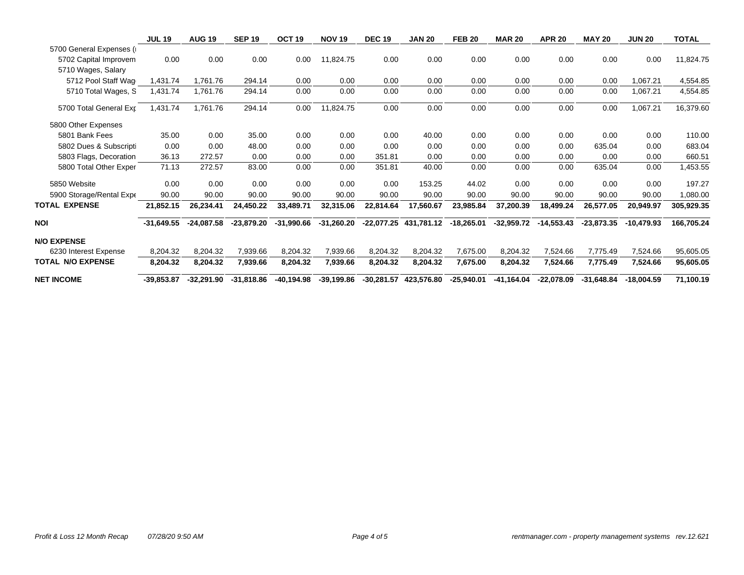|                          | <b>JUL 19</b> | <b>AUG 19</b> | <b>SEP 19</b> | OCT <sub>19</sub> | <b>NOV 19</b> | <b>DEC 19</b> | <b>JAN 20</b>         | <b>FEB 20</b> | <b>MAR 20</b> | <b>APR 20</b> | <b>MAY 20</b> | <b>JUN 20</b> | <b>TOTAL</b> |
|--------------------------|---------------|---------------|---------------|-------------------|---------------|---------------|-----------------------|---------------|---------------|---------------|---------------|---------------|--------------|
| 5700 General Expenses (i |               |               |               |                   |               |               |                       |               |               |               |               |               |              |
| 5702 Capital Improvem    | 0.00          | 0.00          | 0.00          | 0.00              | 11,824.75     | 0.00          | 0.00                  | 0.00          | 0.00          | 0.00          | 0.00          | 0.00          | 11,824.75    |
| 5710 Wages, Salary       |               |               |               |                   |               |               |                       |               |               |               |               |               |              |
| 5712 Pool Staff Wag      | 1,431.74      | 1,761.76      | 294.14        | 0.00              | 0.00          | 0.00          | 0.00                  | 0.00          | 0.00          | 0.00          | 0.00          | 1,067.21      | 4,554.85     |
| 5710 Total Wages, S      | 1,431.74      | 1,761.76      | 294.14        | 0.00              | 0.00          | 0.00          | 0.00                  | 0.00          | 0.00          | 0.00          | 0.00          | 1,067.21      | 4,554.85     |
| 5700 Total General Exp   | 1,431.74      | 1,761.76      | 294.14        | 0.00              | 11,824.75     | 0.00          | 0.00                  | 0.00          | 0.00          | 0.00          | 0.00          | 1,067.21      | 16,379.60    |
| 5800 Other Expenses      |               |               |               |                   |               |               |                       |               |               |               |               |               |              |
| 5801 Bank Fees           | 35.00         | 0.00          | 35.00         | 0.00              | 0.00          | 0.00          | 40.00                 | 0.00          | 0.00          | 0.00          | 0.00          | 0.00          | 110.00       |
| 5802 Dues & Subscripti   | 0.00          | 0.00          | 48.00         | 0.00              | 0.00          | 0.00          | 0.00                  | 0.00          | 0.00          | 0.00          | 635.04        | 0.00          | 683.04       |
| 5803 Flags, Decoration   | 36.13         | 272.57        | 0.00          | 0.00              | 0.00          | 351.81        | 0.00                  | 0.00          | 0.00          | 0.00          | 0.00          | 0.00          | 660.51       |
| 5800 Total Other Exper   | 71.13         | 272.57        | 83.00         | 0.00              | 0.00          | 351.81        | 40.00                 | 0.00          | 0.00          | 0.00          | 635.04        | 0.00          | 1,453.55     |
| 5850 Website             | 0.00          | 0.00          | 0.00          | 0.00              | 0.00          | 0.00          | 153.25                | 44.02         | 0.00          | 0.00          | 0.00          | 0.00          | 197.27       |
| 5900 Storage/Rental Expe | 90.00         | 90.00         | 90.00         | 90.00             | 90.00         | 90.00         | 90.00                 | 90.00         | 90.00         | 90.00         | 90.00         | 90.00         | 1,080.00     |
| TOTAL EXPENSE            | 21,852.15     | 26,234.41     | 24,450.22     | 33,489.71         | 32,315.06     | 22,814.64     | 17,560.67             | 23,985.84     | 37,200.39     | 18,499.24     | 26,577.05     | 20,949.97     | 305,929.35   |
| NOI                      | $-31,649.55$  | $-24,087.58$  | $-23,879.20$  | $-31,990.66$      | $-31,260.20$  |               | -22,077.25 431,781.12 | $-18,265.01$  | $-32,959.72$  | $-14,553.43$  | $-23,873.35$  | $-10,479.93$  | 166,705.24   |
| <b>N/O EXPENSE</b>       |               |               |               |                   |               |               |                       |               |               |               |               |               |              |
| 6230 Interest Expense    | 8,204.32      | 8,204.32      | 7,939.66      | 8,204.32          | 7,939.66      | 8,204.32      | 8,204.32              | 7,675.00      | 8,204.32      | 7,524.66      | 7,775.49      | 7,524.66      | 95,605.05    |
| TOTAL N/O EXPENSE        | 8,204.32      | 8,204.32      | 7,939.66      | 8,204.32          | 7,939.66      | 8,204.32      | 8,204.32              | 7,675.00      | 8,204.32      | 7,524.66      | 7,775.49      | 7,524.66      | 95,605.05    |
| <b>NET INCOME</b>        | $-39,853.87$  | $-32,291.90$  | $-31,818.86$  | -40,194.98        | -39,199.86    |               | -30,281.57 423,576.80 | $-25,940.01$  | -41,164.04    | -22,078.09    | $-31,648.84$  | $-18,004.59$  | 71,100.19    |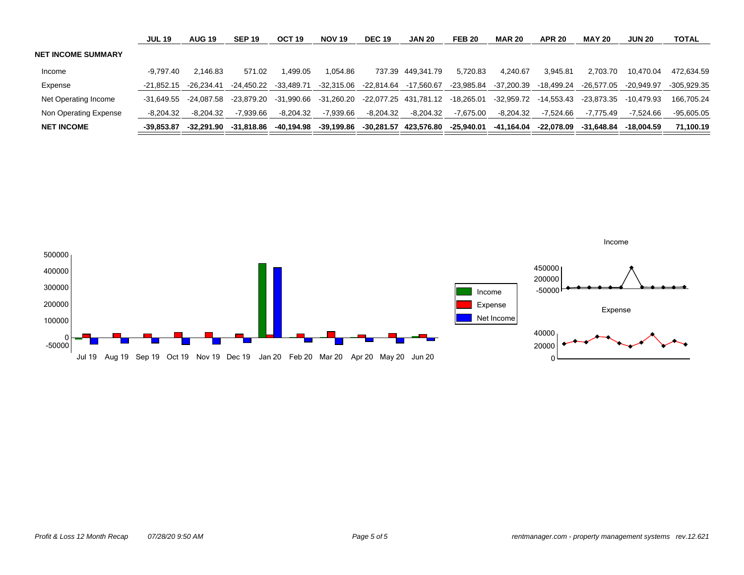|                           | <b>JUL 19</b> | <b>AUG 19</b> | <b>SEP 19</b> | OCT <sub>19</sub> | <b>NOV 19</b> | <b>DEC 19</b> | <b>JAN 20</b>         | <b>FEB 20</b> | <b>MAR 20</b> | <b>APR 20</b> | <b>MAY 20</b> | <b>JUN 20</b> | <b>TOTAL</b> |
|---------------------------|---------------|---------------|---------------|-------------------|---------------|---------------|-----------------------|---------------|---------------|---------------|---------------|---------------|--------------|
| <b>NET INCOME SUMMARY</b> |               |               |               |                   |               |               |                       |               |               |               |               |               |              |
| Income                    | -9.797.40     | 2.146.83      | 571.02        | .499.05           | 1.054.86      |               | 737.39 449.341.79     | 5.720.83      | 4.240.67      | 3.945.81      | 2.703.70      | 10.470.04     | 472.634.59   |
| Expense                   | -21.852.15    | $-26.234.41$  | -24.450.22    | $-33.489.71$      | $-32.315.06$  | -22.814.64    | -17.560.67            | -23.985.84    | -37.200.39    | -18.499.24    | $-26.577.05$  | $-20.949.97$  | -305.929.35  |
| Net Operating Income      | -31.649.55    | -24.087.58    | -23.879.20    | -31.990.66        | -31.260.20    |               | -22.077.25 431.781.12 | -18.265.01    | -32.959.72    | -14.553.43    | -23.873.35    | -10.479.93    | 166.705.24   |
| Non Operating Expense     | $-8.204.32$   | $-8.204.32$   | $-7.939.66$   | $-8.204.32$       | $-7.939.66$   | -8,204.32     | $-8.204.32$           | $-7.675.00$   | $-8,204.32$   | $-7.524.66$   | -7.775.49     | $-7.524.66$   | $-95.605.05$ |
| <b>NET INCOME</b>         | -39.853.87    | -32.291.90    | -31.818.86    | -40.194.98        | -39.199.86    |               | -30.281.57 423.576.80 | -25.940.01    | -41.164.04    | -22.078.09    | -31.648.84    | -18.004.59    | 71.100.19    |

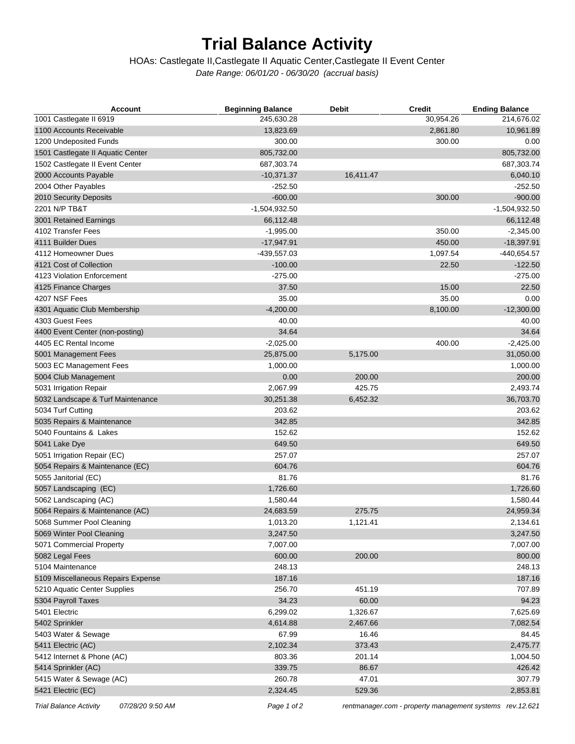# **Trial Balance Activity**

#### *Date Range: 06/01/20 - 06/30/20 (accrual basis)* HOAs: Castlegate II,Castlegate II Aquatic Center,Castlegate II Event Center

| <b>Account</b>                     | <b>Beginning Balance</b> | <b>Debit</b> | <b>Credit</b> | <b>Ending Balance</b> |
|------------------------------------|--------------------------|--------------|---------------|-----------------------|
| 1001 Castlegate II 6919            | 245,630.28               |              | 30,954.26     | 214,676.02            |
| 1100 Accounts Receivable           | 13,823.69                |              | 2,861.80      | 10,961.89             |
| 1200 Undeposited Funds             | 300.00                   |              | 300.00        | 0.00                  |
| 1501 Castlegate II Aquatic Center  | 805,732.00               |              |               | 805,732.00            |
| 1502 Castlegate II Event Center    | 687,303.74               |              |               | 687,303.74            |
| 2000 Accounts Payable              | $-10,371.37$             | 16,411.47    |               | 6,040.10              |
| 2004 Other Payables                | $-252.50$                |              |               | $-252.50$             |
| 2010 Security Deposits             | $-600.00$                |              | 300.00        | $-900.00$             |
| 2201 N/P TB&T                      | $-1,504,932.50$          |              |               | $-1,504,932.50$       |
| 3001 Retained Earnings             | 66,112.48                |              |               | 66,112.48             |
| 4102 Transfer Fees                 | $-1,995.00$              |              | 350.00        | $-2,345.00$           |
| 4111 Builder Dues                  | $-17,947.91$             |              | 450.00        | $-18,397.91$          |
| 4112 Homeowner Dues                | -439,557.03              |              | 1,097.54      | $-440,654.57$         |
| 4121 Cost of Collection            | $-100.00$                |              | 22.50         | $-122.50$             |
| 4123 Violation Enforcement         | $-275.00$                |              |               | $-275.00$             |
| 4125 Finance Charges               | 37.50                    |              | 15.00         | 22.50                 |
| 4207 NSF Fees                      | 35.00                    |              | 35.00         | 0.00                  |
| 4301 Aquatic Club Membership       | $-4,200.00$              |              | 8,100.00      | $-12,300.00$          |
| 4303 Guest Fees                    | 40.00                    |              |               | 40.00                 |
| 4400 Event Center (non-posting)    | 34.64                    |              |               | 34.64                 |
| 4405 EC Rental Income              | $-2,025.00$              |              | 400.00        | $-2,425.00$           |
| 5001 Management Fees               | 25,875.00                | 5,175.00     |               | 31,050.00             |
| 5003 EC Management Fees            | 1,000.00                 |              |               | 1,000.00              |
| 5004 Club Management               | 0.00                     | 200.00       |               | 200.00                |
| 5031 Irrigation Repair             | 2,067.99                 | 425.75       |               | 2,493.74              |
| 5032 Landscape & Turf Maintenance  | 30,251.38                | 6,452.32     |               | 36,703.70             |
| 5034 Turf Cutting                  | 203.62                   |              |               | 203.62                |
| 5035 Repairs & Maintenance         | 342.85                   |              |               | 342.85                |
| 5040 Fountains & Lakes             | 152.62                   |              |               | 152.62                |
| 5041 Lake Dye                      | 649.50                   |              |               | 649.50                |
| 5051 Irrigation Repair (EC)        | 257.07                   |              |               | 257.07                |
| 5054 Repairs & Maintenance (EC)    | 604.76                   |              |               | 604.76                |
| 5055 Janitorial (EC)               | 81.76                    |              |               | 81.76                 |
| 5057 Landscaping (EC)              | 1,726.60                 |              |               | 1,726.60              |
| 5062 Landscaping (AC)              | 1,580.44                 |              |               | 1,580.44              |
| 5064 Repairs & Maintenance (AC)    | 24,683.59                | 275.75       |               | 24,959.34             |
| 5068 Summer Pool Cleaning          | 1,013.20                 | 1,121.41     |               | 2,134.61              |
| 5069 Winter Pool Cleaning          | 3,247.50                 |              |               | 3,247.50              |
| 5071 Commercial Property           | 7,007.00                 |              |               | 7,007.00              |
| 5082 Legal Fees                    | 600.00                   | 200.00       |               | 800.00                |
| 5104 Maintenance                   | 248.13                   |              |               | 248.13                |
| 5109 Miscellaneous Repairs Expense | 187.16                   |              |               | 187.16                |
| 5210 Aquatic Center Supplies       | 256.70                   | 451.19       |               | 707.89                |
| 5304 Payroll Taxes                 | 34.23                    | 60.00        |               | 94.23                 |
| 5401 Electric                      | 6,299.02                 | 1,326.67     |               | 7,625.69              |
| 5402 Sprinkler                     | 4,614.88                 | 2,467.66     |               | 7,082.54              |
| 5403 Water & Sewage                | 67.99                    | 16.46        |               | 84.45                 |
| 5411 Electric (AC)                 | 2,102.34                 | 373.43       |               | 2,475.77              |
| 5412 Internet & Phone (AC)         | 803.36                   | 201.14       |               | 1,004.50              |
| 5414 Sprinkler (AC)                | 339.75                   | 86.67        |               | 426.42                |
| 5415 Water & Sewage (AC)           | 260.78                   | 47.01        |               | 307.79                |
| 5421 Electric (EC)                 | 2,324.45                 | 529.36       |               | 2,853.81              |
|                                    |                          |              |               |                       |

*Trial Balance Activity 07/28/20 9:50 AM Page 1 of 2 [rentmanager.com - property management systems rev.12.621](http://www.rentmanager.com)*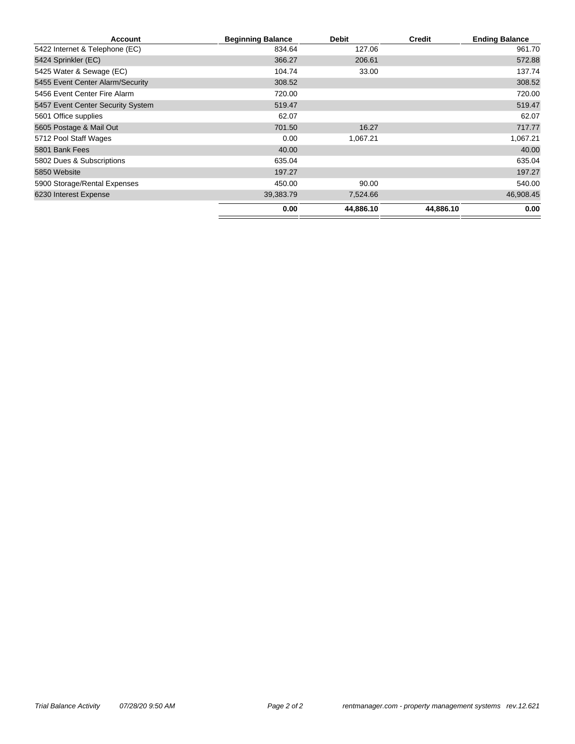| <b>Account</b>                    | <b>Beginning Balance</b> | <b>Debit</b> | <b>Credit</b> | <b>Ending Balance</b> |
|-----------------------------------|--------------------------|--------------|---------------|-----------------------|
| 5422 Internet & Telephone (EC)    | 834.64                   | 127.06       |               | 961.70                |
| 5424 Sprinkler (EC)               | 366.27                   | 206.61       |               | 572.88                |
| 5425 Water & Sewage (EC)          | 104.74                   | 33.00        |               | 137.74                |
| 5455 Event Center Alarm/Security  | 308.52                   |              |               | 308.52                |
| 5456 Event Center Fire Alarm      | 720.00                   |              |               | 720.00                |
| 5457 Event Center Security System | 519.47                   |              |               | 519.47                |
| 5601 Office supplies              | 62.07                    |              |               | 62.07                 |
| 5605 Postage & Mail Out           | 701.50                   | 16.27        |               | 717.77                |
| 5712 Pool Staff Wages             | 0.00                     | 1,067.21     |               | 1,067.21              |
| 5801 Bank Fees                    | 40.00                    |              |               | 40.00                 |
| 5802 Dues & Subscriptions         | 635.04                   |              |               | 635.04                |
| 5850 Website                      | 197.27                   |              |               | 197.27                |
| 5900 Storage/Rental Expenses      | 450.00                   | 90.00        |               | 540.00                |
| 6230 Interest Expense             | 39,383.79                | 7,524.66     |               | 46,908.45             |
|                                   | 0.00                     | 44,886.10    | 44,886.10     | 0.00                  |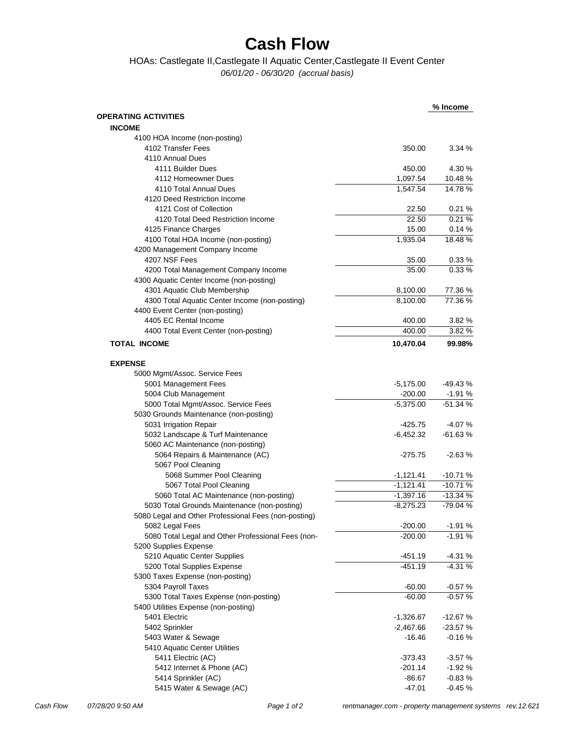# **Cash Flow**

### HOAs: Castlegate II,Castlegate II Aquatic Center,Castlegate II Event Center

*06/01/20 - 06/30/20 (accrual basis)*

|                                                      |             | % Income  |
|------------------------------------------------------|-------------|-----------|
| <b>OPERATING ACTIVITIES</b>                          |             |           |
| <b>INCOME</b>                                        |             |           |
| 4100 HOA Income (non-posting)                        |             |           |
| 4102 Transfer Fees                                   | 350.00      | 3.34 %    |
| 4110 Annual Dues                                     |             |           |
| 4111 Builder Dues                                    | 450.00      | 4.30 %    |
| 4112 Homeowner Dues                                  | 1,097.54    | 10.48%    |
| 4110 Total Annual Dues                               | 1,547.54    | 14.78%    |
| 4120 Deed Restriction Income                         |             |           |
| 4121 Cost of Collection                              | 22.50       | 0.21%     |
| 4120 Total Deed Restriction Income                   | 22.50       | 0.21%     |
| 4125 Finance Charges                                 | 15.00       | 0.14%     |
| 4100 Total HOA Income (non-posting)                  | 1,935.04    | 18.48%    |
| 4200 Management Company Income                       |             |           |
| 4207 NSF Fees                                        | 35.00       | 0.33%     |
| 4200 Total Management Company Income                 | 35.00       | 0.33%     |
| 4300 Aquatic Center Income (non-posting)             |             |           |
| 4301 Aquatic Club Membership                         | 8,100.00    | 77.36 %   |
| 4300 Total Aquatic Center Income (non-posting)       | 8,100.00    | 77.36%    |
| 4400 Event Center (non-posting)                      |             |           |
| 4405 EC Rental Income                                | 400.00      | 3.82%     |
| 4400 Total Event Center (non-posting)                | 400.00      | 3.82%     |
|                                                      |             |           |
| <b>TOTAL INCOME</b>                                  | 10,470.04   | 99.98%    |
| <b>EXPENSE</b>                                       |             |           |
|                                                      |             |           |
| 5000 Mgmt/Assoc. Service Fees                        |             |           |
| 5001 Management Fees                                 | $-5,175.00$ | $-49.43%$ |
| 5004 Club Management                                 | -200.00     | -1.91 %   |
| 5000 Total Mgmt/Assoc. Service Fees                  | $-5,375.00$ | $-51.34%$ |
| 5030 Grounds Maintenance (non-posting)               |             |           |
| 5031 Irrigation Repair                               | $-425.75$   | $-4.07%$  |
| 5032 Landscape & Turf Maintenance                    | $-6,452.32$ | $-61.63%$ |
| 5060 AC Maintenance (non-posting)                    |             |           |
| 5064 Repairs & Maintenance (AC)                      | $-275.75$   | $-2.63%$  |
| 5067 Pool Cleaning                                   |             |           |
| 5068 Summer Pool Cleaning                            | $-1,121.41$ | $-10.71%$ |
| 5067 Total Pool Cleaning                             | $-1,121.41$ | $-10.71%$ |
| 5060 Total AC Maintenance (non-posting)              | $-1,397.16$ | $-13.34%$ |
| 5030 Total Grounds Maintenance (non-posting)         | $-8,275.23$ | -79.04 %  |
| 5080 Legal and Other Professional Fees (non-posting) |             |           |
| 5082 Legal Fees                                      | $-200.00$   | $-1.91%$  |
| 5080 Total Legal and Other Professional Fees (non-   | $-200.00$   | $-1.91%$  |
| 5200 Supplies Expense                                |             |           |
| 5210 Aquatic Center Supplies                         | $-451.19$   | $-4.31%$  |
| 5200 Total Supplies Expense                          | $-451.19$   | $-4.31%$  |
| 5300 Taxes Expense (non-posting)                     |             |           |
| 5304 Payroll Taxes                                   | $-60.00$    | $-0.57%$  |
| 5300 Total Taxes Expense (non-posting)               | $-60.00$    | $-0.57%$  |
| 5400 Utilities Expense (non-posting)                 |             |           |
| 5401 Electric                                        | $-1,326.67$ | $-12.67%$ |
| 5402 Sprinkler                                       | $-2,467.66$ | $-23.57%$ |
| 5403 Water & Sewage                                  | $-16.46$    | -0.16 %   |
| 5410 Aquatic Center Utilities                        |             |           |
| 5411 Electric (AC)                                   | $-373.43$   | $-3.57%$  |
| 5412 Internet & Phone (AC)                           | $-201.14$   | -1.92 %   |
| 5414 Sprinkler (AC)                                  | -86.67      | $-0.83%$  |
| 5415 Water & Sewage (AC)                             | $-47.01$    | $-0.45%$  |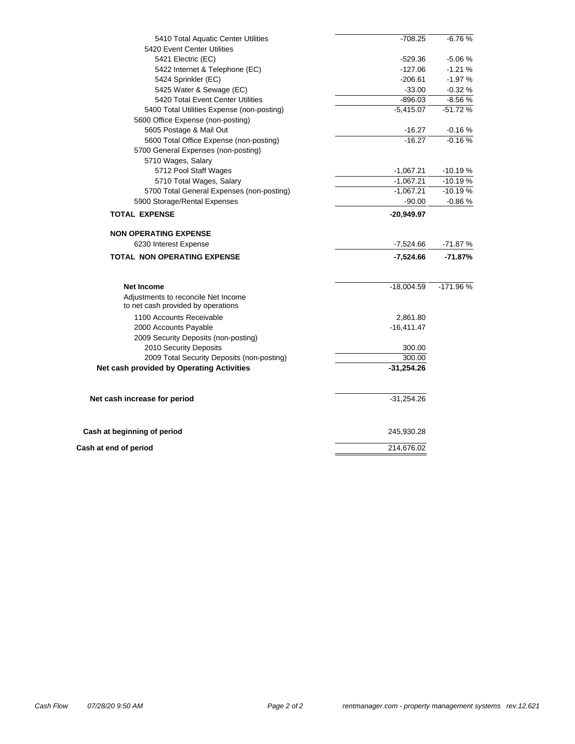| 5410 Total Aquatic Center Utilities        | $-708.25$    | $-6.76%$  |  |  |  |  |
|--------------------------------------------|--------------|-----------|--|--|--|--|
| 5420 Event Center Utilities                |              |           |  |  |  |  |
| 5421 Electric (EC)                         | $-529.36$    | $-5.06%$  |  |  |  |  |
| 5422 Internet & Telephone (EC)             | $-127.06$    | $-1.21%$  |  |  |  |  |
| 5424 Sprinkler (EC)                        | $-206.61$    | $-1.97%$  |  |  |  |  |
| 5425 Water & Sewage (EC)                   | $-33.00$     | $-0.32%$  |  |  |  |  |
| 5420 Total Event Center Utilities          | $-896.03$    | $-8.56%$  |  |  |  |  |
| 5400 Total Utilities Expense (non-posting) | $-5,415.07$  | $-51.72%$ |  |  |  |  |
| 5600 Office Expense (non-posting)          |              |           |  |  |  |  |
| 5605 Postage & Mail Out                    | $-16.27$     | $-0.16%$  |  |  |  |  |
| 5600 Total Office Expense (non-posting)    | $-16.27$     | $-0.16%$  |  |  |  |  |
| 5700 General Expenses (non-posting)        |              |           |  |  |  |  |
| 5710 Wages, Salary                         |              |           |  |  |  |  |
| 5712 Pool Staff Wages                      | $-1,067.21$  | $-10.19%$ |  |  |  |  |
| 5710 Total Wages, Salary                   | $-1,067.21$  | $-10.19%$ |  |  |  |  |
| 5700 Total General Expenses (non-posting)  | $-1,067.21$  | $-10.19%$ |  |  |  |  |
| 5900 Storage/Rental Expenses               | $-90.00$     | $-0.86%$  |  |  |  |  |
| <b>TOTAL EXPENSE</b>                       | $-20,949.97$ |           |  |  |  |  |
| <b>NON OPERATING EXPENSE</b>               |              |           |  |  |  |  |
| 6230 Interest Expense                      | $-7,524.66$  | $-71.87%$ |  |  |  |  |
| <b>TOTAL NON OPERATING EXPENSE</b>         | -7,524.66    | $-71.87%$ |  |  |  |  |
|                                            |              |           |  |  |  |  |
| <b>Net Income</b>                          | $-18,004.59$ | -171.96%  |  |  |  |  |
| Adjustments to reconcile Net Income        |              |           |  |  |  |  |
| to net cash provided by operations         |              |           |  |  |  |  |
| 1100 Accounts Receivable                   | 2,861.80     |           |  |  |  |  |
| 2000 Accounts Payable                      | $-16,411.47$ |           |  |  |  |  |
| 2009 Security Deposits (non-posting)       |              |           |  |  |  |  |
| 2010 Security Deposits                     | 300.00       |           |  |  |  |  |
| 2009 Total Security Deposits (non-posting) | 300.00       |           |  |  |  |  |
| Net cash provided by Operating Activities  | $-31,254.26$ |           |  |  |  |  |
| Net cash increase for period               | $-31,254.26$ |           |  |  |  |  |
|                                            |              |           |  |  |  |  |
| Cash at beginning of period                | 245,930.28   |           |  |  |  |  |
| Cash at end of period                      | 214,676.02   |           |  |  |  |  |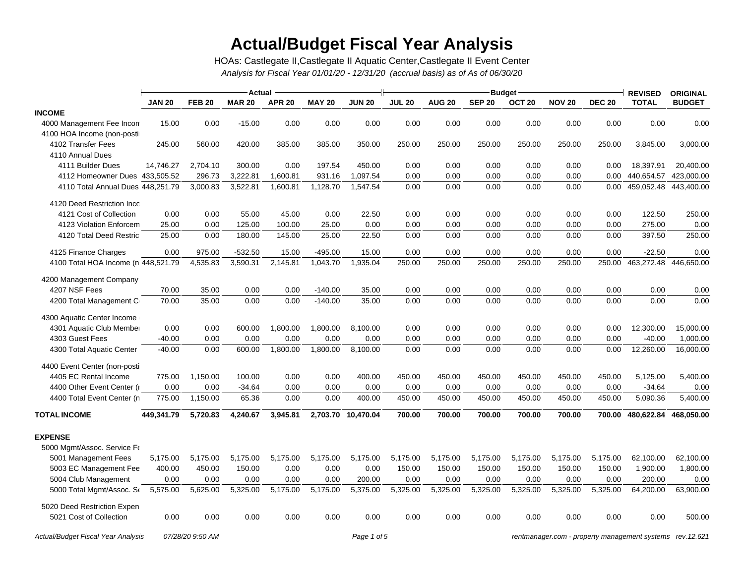# **Actual/Budget Fiscal Year Analysis**

*Analysis for Fiscal Year 01/01/20 - 12/31/20 (accrual basis) as of As of 06/30/20* HOAs: Castlegate II,Castlegate II Aquatic Center,Castlegate II Event Center

|                                     | Actual        |               |               |               |               |                    |               |               |                         | <b>REVISED</b>    | <b>ORIGINAL</b> |               |              |               |
|-------------------------------------|---------------|---------------|---------------|---------------|---------------|--------------------|---------------|---------------|-------------------------|-------------------|-----------------|---------------|--------------|---------------|
|                                     | <b>JAN 20</b> | <b>FEB 20</b> | <b>MAR 20</b> | <b>APR 20</b> | <b>MAY 20</b> | <b>JUN 20</b>      | <b>JUL 20</b> | <b>AUG 20</b> | Budget<br><b>SEP 20</b> | OCT <sub>20</sub> | <b>NOV 20</b>   | <b>DEC 20</b> | <b>TOTAL</b> | <b>BUDGET</b> |
| <b>INCOME</b>                       |               |               |               |               |               |                    |               |               |                         |                   |                 |               |              |               |
| 4000 Management Fee Incon           | 15.00         | 0.00          | $-15.00$      | 0.00          | 0.00          | 0.00               | 0.00          | 0.00          | 0.00                    | 0.00              | 0.00            | 0.00          | 0.00         | 0.00          |
| 4100 HOA Income (non-posti          |               |               |               |               |               |                    |               |               |                         |                   |                 |               |              |               |
| 4102 Transfer Fees                  | 245.00        | 560.00        | 420.00        | 385.00        | 385.00        | 350.00             | 250.00        | 250.00        | 250.00                  | 250.00            | 250.00          | 250.00        | 3,845.00     | 3,000.00      |
| 4110 Annual Dues                    |               |               |               |               |               |                    |               |               |                         |                   |                 |               |              |               |
| 4111 Builder Dues                   | 14,746.27     | 2,704.10      | 300.00        | 0.00          | 197.54        | 450.00             | 0.00          | 0.00          | 0.00                    | 0.00              | 0.00            | 0.00          | 18,397.91    | 20,400.00     |
| 4112 Homeowner Dues 433,505.52      |               | 296.73        | 3,222.81      | 1,600.81      | 931.16        | 1,097.54           | 0.00          | 0.00          | 0.00                    | 0.00              | 0.00            | 0.00          | 440,654.57   | 423,000.00    |
| 4110 Total Annual Dues 448,251.79   |               | 3,000.83      | 3,522.81      | 1,600.81      | 1,128.70      | 1,547.54           | 0.00          | 0.00          | 0.00                    | 0.00              | 0.00            | 0.00          | 459,052.48   | 443,400.00    |
| 4120 Deed Restriction Inco          |               |               |               |               |               |                    |               |               |                         |                   |                 |               |              |               |
| 4121 Cost of Collection             | 0.00          | 0.00          | 55.00         | 45.00         | 0.00          | 22.50              | 0.00          | 0.00          | 0.00                    | 0.00              | 0.00            | 0.00          | 122.50       | 250.00        |
| 4123 Violation Enforcem             | 25.00         | 0.00          | 125.00        | 100.00        | 25.00         | 0.00               | 0.00          | 0.00          | 0.00                    | 0.00              | 0.00            | 0.00          | 275.00       | 0.00          |
| 4120 Total Deed Restric             | 25.00         | 0.00          | 180.00        | 145.00        | 25.00         | 22.50              | 0.00          | 0.00          | 0.00                    | 0.00              | 0.00            | 0.00          | 397.50       | 250.00        |
| 4125 Finance Charges                | 0.00          | 975.00        | $-532.50$     | 15.00         | $-495.00$     | 15.00              | 0.00          | 0.00          | 0.00                    | 0.00              | 0.00            | 0.00          | $-22.50$     | 0.00          |
| 4100 Total HOA Income (n 448,521.79 |               | 4,535.83      | 3,590.31      | 2,145.81      | 1,043.70      | 1,935.04           | 250.00        | 250.00        | 250.00                  | 250.00            | 250.00          | 250.00        | 463,272.48   | 446,650.00    |
| 4200 Management Company             |               |               |               |               |               |                    |               |               |                         |                   |                 |               |              |               |
| 4207 NSF Fees                       | 70.00         | 35.00         | 0.00          | 0.00          | $-140.00$     | 35.00              | 0.00          | 0.00          | 0.00                    | 0.00              | 0.00            | 0.00          | 0.00         | 0.00          |
| 4200 Total Management C             | 70.00         | 35.00         | 0.00          | 0.00          | $-140.00$     | 35.00              | 0.00          | 0.00          | 0.00                    | 0.00              | 0.00            | 0.00          | 0.00         | 0.00          |
| 4300 Aquatic Center Income          |               |               |               |               |               |                    |               |               |                         |                   |                 |               |              |               |
| 4301 Aquatic Club Member            | 0.00          | 0.00          | 600.00        | 1,800.00      | 1,800.00      | 8,100.00           | 0.00          | 0.00          | 0.00                    | 0.00              | 0.00            | 0.00          | 12,300.00    | 15,000.00     |
| 4303 Guest Fees                     | $-40.00$      | 0.00          | 0.00          | 0.00          | 0.00          | 0.00               | 0.00          | 0.00          | 0.00                    | 0.00              | 0.00            | 0.00          | $-40.00$     | 1,000.00      |
| 4300 Total Aquatic Center           | $-40.00$      | 0.00          | 600.00        | 1,800.00      | 1,800.00      | 8,100.00           | 0.00          | 0.00          | 0.00                    | 0.00              | 0.00            | 0.00          | 12,260.00    | 16,000.00     |
| 4400 Event Center (non-posti        |               |               |               |               |               |                    |               |               |                         |                   |                 |               |              |               |
| 4405 EC Rental Income               | 775.00        | 1,150.00      | 100.00        | 0.00          | 0.00          | 400.00             | 450.00        | 450.00        | 450.00                  | 450.00            | 450.00          | 450.00        | 5,125.00     | 5,400.00      |
| 4400 Other Event Center (r          | 0.00          | 0.00          | $-34.64$      | 0.00          | 0.00          | 0.00               | 0.00          | 0.00          | 0.00                    | 0.00              | 0.00            | 0.00          | $-34.64$     | 0.00          |
| 4400 Total Event Center (n          | 775.00        | 1,150.00      | 65.36         | 0.00          | 0.00          | 400.00             | 450.00        | 450.00        | 450.00                  | 450.00            | 450.00          | 450.00        | 5,090.36     | 5,400.00      |
| <b>TOTAL INCOME</b>                 | 449,341.79    | 5,720.83      | 4,240.67      | 3,945.81      |               | 2,703.70 10,470.04 | 700.00        | 700.00        | 700.00                  | 700.00            | 700.00          | 700.00        | 480,622.84   | 468,050.00    |
| <b>EXPENSE</b>                      |               |               |               |               |               |                    |               |               |                         |                   |                 |               |              |               |
| 5000 Mgmt/Assoc. Service Fe         |               |               |               |               |               |                    |               |               |                         |                   |                 |               |              |               |
| 5001 Management Fees                | 5,175.00      | 5,175.00      | 5,175.00      | 5,175.00      | 5,175.00      | 5,175.00           | 5,175.00      | 5,175.00      | 5,175.00                | 5,175.00          | 5,175.00        | 5,175.00      | 62,100.00    | 62,100.00     |
| 5003 EC Management Fee              | 400.00        | 450.00        | 150.00        | 0.00          | 0.00          | 0.00               | 150.00        | 150.00        | 150.00                  | 150.00            | 150.00          | 150.00        | 1,900.00     | 1,800.00      |
| 5004 Club Management                | 0.00          | 0.00          | 0.00          | 0.00          | 0.00          | 200.00             | 0.00          | 0.00          | 0.00                    | 0.00              | 0.00            | 0.00          | 200.00       | 0.00          |
| 5000 Total Mgmt/Assoc. Se           | 5,575.00      | 5,625.00      | 5,325.00      | 5,175.00      | 5,175.00      | 5,375.00           | 5,325.00      | 5,325.00      | 5,325.00                | 5,325.00          | 5,325.00        | 5,325.00      | 64,200.00    | 63,900.00     |
| 5020 Deed Restriction Expen         |               |               |               |               |               |                    |               |               |                         |                   |                 |               |              |               |
| 5021 Cost of Collection             | 0.00          | 0.00          | 0.00          | 0.00          | 0.00          | 0.00               | 0.00          | 0.00          | 0.00                    | 0.00              | 0.00            | 0.00          | 0.00         | 500.00        |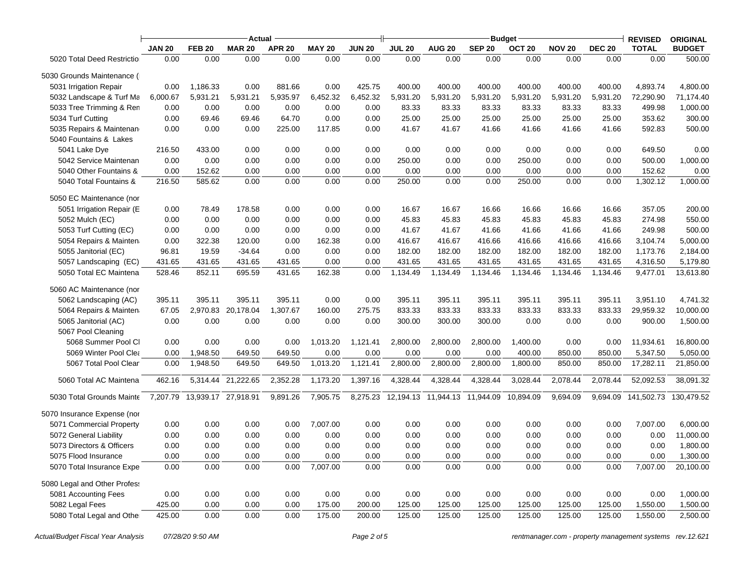|                              | Actual        |                              |               |               |               |               | <b>Budget</b> |                                                  |               |                   |               |               |                       | <b>ORIGINAL</b> |
|------------------------------|---------------|------------------------------|---------------|---------------|---------------|---------------|---------------|--------------------------------------------------|---------------|-------------------|---------------|---------------|-----------------------|-----------------|
|                              | <b>JAN 20</b> | <b>FEB 20</b>                | <b>MAR 20</b> | <b>APR 20</b> | <b>MAY 20</b> | <b>JUN 20</b> | <b>JUL 20</b> | <b>AUG 20</b>                                    | <b>SEP 20</b> | OCT <sub>20</sub> | <b>NOV 20</b> | <b>DEC 20</b> | <b>TOTAL</b>          | <b>BUDGET</b>   |
| 5020 Total Deed Restriction  | 0.00          | 0.00                         | 0.00          | 0.00          | 0.00          | 0.00          | 0.00          | 0.00                                             | 0.00          | 0.00              | 0.00          | 0.00          | 0.00                  | 500.00          |
| 5030 Grounds Maintenance (1  |               |                              |               |               |               |               |               |                                                  |               |                   |               |               |                       |                 |
| 5031 Irrigation Repair       | 0.00          | 1,186.33                     | 0.00          | 881.66        | 0.00          | 425.75        | 400.00        | 400.00                                           | 400.00        | 400.00            | 400.00        | 400.00        | 4,893.74              | 4,800.00        |
| 5032 Landscape & Turf Ma     | 6,000.67      | 5,931.21                     | 5,931.21      | 5,935.97      | 6,452.32      | 6,452.32      | 5,931.20      | 5,931.20                                         | 5,931.20      | 5,931.20          | 5,931.20      | 5,931.20      | 72,290.90             | 71,174.40       |
| 5033 Tree Trimming & Ren     | 0.00          | 0.00                         | 0.00          | 0.00          | 0.00          | 0.00          | 83.33         | 83.33                                            | 83.33         | 83.33             | 83.33         | 83.33         | 499.98                | 1,000.00        |
| 5034 Turf Cutting            | 0.00          | 69.46                        | 69.46         | 64.70         | 0.00          | 0.00          | 25.00         | 25.00                                            | 25.00         | 25.00             | 25.00         | 25.00         | 353.62                | 300.00          |
| 5035 Repairs & Maintenan     | 0.00          | 0.00                         | 0.00          | 225.00        | 117.85        | 0.00          | 41.67         | 41.67                                            | 41.66         | 41.66             | 41.66         | 41.66         | 592.83                | 500.00          |
| 5040 Fountains & Lakes       |               |                              |               |               |               |               |               |                                                  |               |                   |               |               |                       |                 |
| 5041 Lake Dye                | 216.50        | 433.00                       | 0.00          | 0.00          | 0.00          | 0.00          | 0.00          | 0.00                                             | 0.00          | 0.00              | 0.00          | 0.00          | 649.50                | 0.00            |
| 5042 Service Maintenan       | 0.00          | 0.00                         | 0.00          | 0.00          | 0.00          | 0.00          | 250.00        | 0.00                                             | 0.00          | 250.00            | 0.00          | 0.00          | 500.00                | 1,000.00        |
| 5040 Other Fountains &       | 0.00          | 152.62                       | 0.00          | 0.00          | 0.00          | 0.00          | 0.00          | 0.00                                             | 0.00          | 0.00              | 0.00          | 0.00          | 152.62                | 0.00            |
| 5040 Total Fountains &       | 216.50        | 585.62                       | 0.00          | 0.00          | 0.00          | 0.00          | 250.00        | 0.00                                             | 0.00          | 250.00            | 0.00          | 0.00          | 1,302.12              | 1,000.00        |
| 5050 EC Maintenance (nor     |               |                              |               |               |               |               |               |                                                  |               |                   |               |               |                       |                 |
| 5051 Irrigation Repair (E    | 0.00          | 78.49                        | 178.58        | 0.00          | 0.00          | 0.00          | 16.67         | 16.67                                            | 16.66         | 16.66             | 16.66         | 16.66         | 357.05                | 200.00          |
| 5052 Mulch (EC)              | 0.00          | 0.00                         | 0.00          | 0.00          | 0.00          | 0.00          | 45.83         | 45.83                                            | 45.83         | 45.83             | 45.83         | 45.83         | 274.98                | 550.00          |
| 5053 Turf Cutting (EC)       | 0.00          | 0.00                         | 0.00          | 0.00          | 0.00          | 0.00          | 41.67         | 41.67                                            | 41.66         | 41.66             | 41.66         | 41.66         | 249.98                | 500.00          |
| 5054 Repairs & Mainten       | 0.00          | 322.38                       | 120.00        | 0.00          | 162.38        | 0.00          | 416.67        | 416.67                                           | 416.66        | 416.66            | 416.66        | 416.66        | 3,104.74              | 5,000.00        |
| 5055 Janitorial (EC)         | 96.81         | 19.59                        | $-34.64$      | 0.00          | 0.00          | 0.00          | 182.00        | 182.00                                           | 182.00        | 182.00            | 182.00        | 182.00        | 1,173.76              | 2,184.00        |
| 5057 Landscaping (EC)        | 431.65        | 431.65                       | 431.65        | 431.65        | 0.00          | 0.00          | 431.65        | 431.65                                           | 431.65        | 431.65            | 431.65        | 431.65        | 4,316.50              | 5,179.80        |
| 5050 Total EC Maintena       | 528.46        | 852.11                       | 695.59        | 431.65        | 162.38        | 0.00          | 1,134.49      | 1,134.49                                         | 1,134.46      | 1,134.46          | 1,134.46      | 1,134.46      | 9,477.01              | 13,613.80       |
| 5060 AC Maintenance (nor     |               |                              |               |               |               |               |               |                                                  |               |                   |               |               |                       |                 |
| 5062 Landscaping (AC)        | 395.11        | 395.11                       | 395.11        | 395.11        | 0.00          | 0.00          | 395.11        | 395.11                                           | 395.11        | 395.11            | 395.11        | 395.11        | 3,951.10              | 4,741.32        |
| 5064 Repairs & Mainten       | 67.05         | 2,970.83                     | 20,178.04     | 1,307.67      | 160.00        | 275.75        | 833.33        | 833.33                                           | 833.33        | 833.33            | 833.33        | 833.33        | 29,959.32             | 10,000.00       |
| 5065 Janitorial (AC)         | 0.00          | 0.00                         | 0.00          | 0.00          | 0.00          | 0.00          | 300.00        | 300.00                                           | 300.00        | 0.00              | 0.00          | 0.00          | 900.00                | 1,500.00        |
| 5067 Pool Cleaning           |               |                              |               |               |               |               |               |                                                  |               |                   |               |               |                       |                 |
| 5068 Summer Pool Cl          | 0.00          | 0.00                         | 0.00          | 0.00          | 1,013.20      | 1,121.41      | 2,800.00      | 2,800.00                                         | 2,800.00      | 1,400.00          | 0.00          | 0.00          | 11,934.61             | 16,800.00       |
| 5069 Winter Pool Clea        | 0.00          | 1,948.50                     | 649.50        | 649.50        | 0.00          | 0.00          | 0.00          | 0.00                                             | 0.00          | 400.00            | 850.00        | 850.00        | 5,347.50              | 5,050.00        |
| 5067 Total Pool Clear        | 0.00          | 1,948.50                     | 649.50        | 649.50        | 1,013.20      | 1,121.41      | 2,800.00      | 2,800.00                                         | 2,800.00      | 1,800.00          | 850.00        | 850.00        | 17,282.11             | 21,850.00       |
| 5060 Total AC Maintena       | 462.16        | 5,314.44                     | 21,222.65     | 2,352.28      | 1,173.20      | 1,397.16      | 4,328.44      | 4,328.44                                         | 4,328.44      | 3,028.44          | 2,078.44      | 2,078.44      | 52,092.53             | 38,091.32       |
| 5030 Total Grounds Mainte    |               | 7,207.79 13,939.17 27,918.91 |               | 9,891.26      | 7,905.75      |               |               | 8,275.23 12,194.13 11,944.13 11,944.09 10,894.09 |               |                   | 9,694.09      | 9,694.09      | 141,502.73 130,479.52 |                 |
| 5070 Insurance Expense (nor  |               |                              |               |               |               |               |               |                                                  |               |                   |               |               |                       |                 |
| 5071 Commercial Property     | 0.00          | 0.00                         | 0.00          | 0.00          | 7,007.00      | 0.00          | 0.00          | 0.00                                             | 0.00          | 0.00              | 0.00          | 0.00          | 7,007.00              | 6,000.00        |
| 5072 General Liability       | 0.00          | 0.00                         | 0.00          | 0.00          | 0.00          | 0.00          | 0.00          | 0.00                                             | 0.00          | 0.00              | 0.00          | 0.00          | 0.00                  | 11,000.00       |
| 5073 Directors & Officers    | 0.00          | 0.00                         | 0.00          | 0.00          | 0.00          | 0.00          | 0.00          | 0.00                                             | 0.00          | 0.00              | 0.00          | 0.00          | 0.00                  | 1,800.00        |
| 5075 Flood Insurance         | 0.00          | 0.00                         | 0.00          | 0.00          | 0.00          | 0.00          | 0.00          | 0.00                                             | 0.00          | 0.00              | 0.00          | 0.00          | 0.00                  | 1,300.00        |
| 5070 Total Insurance Expe    | 0.00          | 0.00                         | 0.00          | 0.00          | 7,007.00      | 0.00          | 0.00          | 0.00                                             | 0.00          | 0.00              | 0.00          | 0.00          | 7,007.00              | 20,100.00       |
| 5080 Legal and Other Profess |               |                              |               |               |               |               |               |                                                  |               |                   |               |               |                       |                 |
| 5081 Accounting Fees         | 0.00          | 0.00                         | 0.00          | 0.00          | 0.00          | 0.00          | 0.00          | 0.00                                             | 0.00          | 0.00              | 0.00          | 0.00          | 0.00                  | 1,000.00        |
| 5082 Legal Fees              | 425.00        | 0.00                         | 0.00          | 0.00          | 175.00        | 200.00        | 125.00        | 125.00                                           | 125.00        | 125.00            | 125.00        | 125.00        | 1,550.00              | 1,500.00        |
| 5080 Total Legal and Other   | 425.00        | 0.00                         | 0.00          | 0.00          | 175.00        | 200.00        | 125.00        | 125.00                                           | 125.00        | 125.00            | 125.00        | 125.00        | 1,550.00              | 2,500.00        |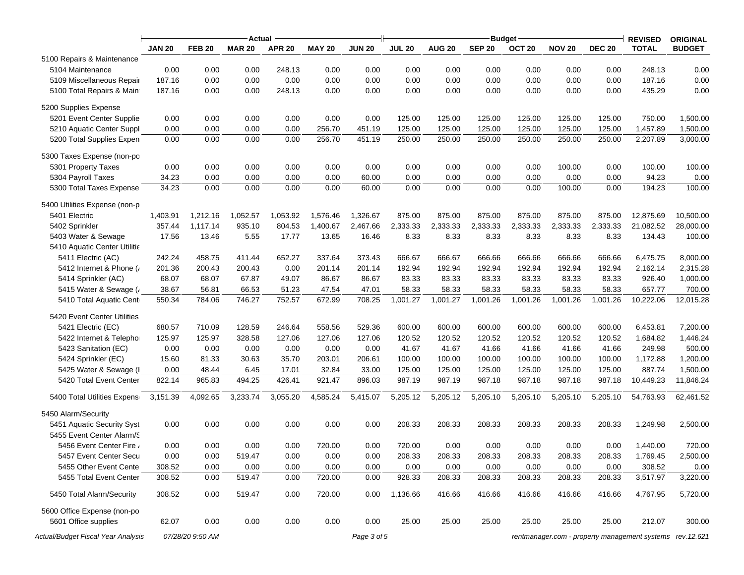|                                    | Actual        |                  |               |               |               |               |               |               |                                | <b>REVISED</b>    | <b>ORIGINAL</b> |               |                                                          |               |
|------------------------------------|---------------|------------------|---------------|---------------|---------------|---------------|---------------|---------------|--------------------------------|-------------------|-----------------|---------------|----------------------------------------------------------|---------------|
|                                    | <b>JAN 20</b> | <b>FEB 20</b>    | <b>MAR 20</b> | <b>APR 20</b> | <b>MAY 20</b> | <b>JUN 20</b> | <b>JUL 20</b> | <b>AUG 20</b> | <b>Budget</b><br><b>SEP 20</b> | OCT <sub>20</sub> | <b>NOV 20</b>   | <b>DEC 20</b> | <b>TOTAL</b>                                             | <b>BUDGET</b> |
| 5100 Repairs & Maintenance         |               |                  |               |               |               |               |               |               |                                |                   |                 |               |                                                          |               |
| 5104 Maintenance                   | 0.00          | 0.00             | 0.00          | 248.13        | 0.00          | 0.00          | 0.00          | 0.00          | 0.00                           | 0.00              | 0.00            | 0.00          | 248.13                                                   | 0.00          |
| 5109 Miscellaneous Repair          | 187.16        | 0.00             | 0.00          | 0.00          | 0.00          | 0.00          | 0.00          | 0.00          | 0.00                           | 0.00              | 0.00            | 0.00          | 187.16                                                   | 0.00          |
| 5100 Total Repairs & Maint         | 187.16        | 0.00             | 0.00          | 248.13        | 0.00          | 0.00          | 0.00          | 0.00          | 0.00                           | 0.00              | 0.00            | 0.00          | 435.29                                                   | 0.00          |
| 5200 Supplies Expense              |               |                  |               |               |               |               |               |               |                                |                   |                 |               |                                                          |               |
| 5201 Event Center Supplie          | 0.00          | 0.00             | 0.00          | 0.00          | 0.00          | 0.00          | 125.00        | 125.00        | 125.00                         | 125.00            | 125.00          | 125.00        | 750.00                                                   | 1,500.00      |
| 5210 Aquatic Center Suppl          | 0.00          | 0.00             | 0.00          | 0.00          | 256.70        | 451.19        | 125.00        | 125.00        | 125.00                         | 125.00            | 125.00          | 125.00        | 1,457.89                                                 | 1,500.00      |
| 5200 Total Supplies Expen          | 0.00          | 0.00             | 0.00          | 0.00          | 256.70        | 451.19        | 250.00        | 250.00        | 250.00                         | 250.00            | 250.00          | 250.00        | 2,207.89                                                 | 3,000.00      |
| 5300 Taxes Expense (non-po         |               |                  |               |               |               |               |               |               |                                |                   |                 |               |                                                          |               |
| 5301 Property Taxes                | 0.00          | 0.00             | 0.00          | 0.00          | 0.00          | 0.00          | 0.00          | 0.00          | 0.00                           | 0.00              | 100.00          | 0.00          | 100.00                                                   | 100.00        |
| 5304 Payroll Taxes                 | 34.23         | 0.00             | 0.00          | 0.00          | 0.00          | 60.00         | 0.00          | 0.00          | 0.00                           | 0.00              | 0.00            | 0.00          | 94.23                                                    | 0.00          |
| 5300 Total Taxes Expense           | 34.23         | 0.00             | 0.00          | 0.00          | 0.00          | 60.00         | 0.00          | 0.00          | 0.00                           | 0.00              | 100.00          | 0.00          | 194.23                                                   | 100.00        |
| 5400 Utilities Expense (non-p      |               |                  |               |               |               |               |               |               |                                |                   |                 |               |                                                          |               |
| 5401 Electric                      | 1,403.91      | 1,212.16         | 1,052.57      | 1,053.92      | 1,576.46      | 1,326.67      | 875.00        | 875.00        | 875.00                         | 875.00            | 875.00          | 875.00        | 12,875.69                                                | 10,500.00     |
| 5402 Sprinkler                     | 357.44        | 1,117.14         | 935.10        | 804.53        | 1,400.67      | 2,467.66      | 2,333.33      | 2,333.33      | 2,333.33                       | 2,333.33          | 2,333.33        | 2,333.33      | 21,082.52                                                | 28,000.00     |
| 5403 Water & Sewage                | 17.56         | 13.46            | 5.55          | 17.77         | 13.65         | 16.46         | 8.33          | 8.33          | 8.33                           | 8.33              | 8.33            | 8.33          | 134.43                                                   | 100.00        |
| 5410 Aquatic Center Utilitie       |               |                  |               |               |               |               |               |               |                                |                   |                 |               |                                                          |               |
| 5411 Electric (AC)                 | 242.24        | 458.75           | 411.44        | 652.27        | 337.64        | 373.43        | 666.67        | 666.67        | 666.66                         | 666.66            | 666.66          | 666.66        | 6,475.75                                                 | 8,000.00      |
| 5412 Internet & Phone (            | 201.36        | 200.43           | 200.43        | 0.00          | 201.14        | 201.14        | 192.94        | 192.94        | 192.94                         | 192.94            | 192.94          | 192.94        | 2,162.14                                                 | 2,315.28      |
| 5414 Sprinkler (AC)                | 68.07         | 68.07            | 67.87         | 49.07         | 86.67         | 86.67         | 83.33         | 83.33         | 83.33                          | 83.33             | 83.33           | 83.33         | 926.40                                                   | 1,000.00      |
| 5415 Water & Sewage (              | 38.67         | 56.81            | 66.53         | 51.23         | 47.54         | 47.01         | 58.33         | 58.33         | 58.33                          | 58.33             | 58.33           | 58.33         | 657.77                                                   | 700.00        |
| 5410 Total Aquatic Cent            | 550.34        | 784.06           | 746.27        | 752.57        | 672.99        | 708.25        | 1,001.27      | 1,001.27      | 1,001.26                       | 1,001.26          | 1,001.26        | 1,001.26      | 10,222.06                                                | 12,015.28     |
| 5420 Event Center Utilities        |               |                  |               |               |               |               |               |               |                                |                   |                 |               |                                                          |               |
| 5421 Electric (EC)                 | 680.57        | 710.09           | 128.59        | 246.64        | 558.56        | 529.36        | 600.00        | 600.00        | 600.00                         | 600.00            | 600.00          | 600.00        | 6,453.81                                                 | 7,200.00      |
| 5422 Internet & Telephor           | 125.97        | 125.97           | 328.58        | 127.06        | 127.06        | 127.06        | 120.52        | 120.52        | 120.52                         | 120.52            | 120.52          | 120.52        | 1,684.82                                                 | 1,446.24      |
| 5423 Sanitation (EC)               | 0.00          | 0.00             | 0.00          | 0.00          | 0.00          | 0.00          | 41.67         | 41.67         | 41.66                          | 41.66             | 41.66           | 41.66         | 249.98                                                   | 500.00        |
| 5424 Sprinkler (EC)                | 15.60         | 81.33            | 30.63         | 35.70         | 203.01        | 206.61        | 100.00        | 100.00        | 100.00                         | 100.00            | 100.00          | 100.00        | 1,172.88                                                 | 1,200.00      |
| 5425 Water & Sewage (I             | 0.00          | 48.44            | 6.45          | 17.01         | 32.84         | 33.00         | 125.00        | 125.00        | 125.00                         | 125.00            | 125.00          | 125.00        | 887.74                                                   | 1,500.00      |
| 5420 Total Event Center            | 822.14        | 965.83           | 494.25        | 426.41        | 921.47        | 896.03        | 987.19        | 987.19        | 987.18                         | 987.18            | 987.18          | 987.18        | 10,449.23                                                | 11,846.24     |
| 5400 Total Utilities Expens        | 3,151.39      | 4,092.65         | 3,233.74      | 3,055.20      | 4,585.24      | 5,415.07      | 5,205.12      | 5,205.12      | 5,205.10                       | 5,205.10          | 5,205.10        | 5,205.10      | 54,763.93                                                | 62,461.52     |
| 5450 Alarm/Security                |               |                  |               |               |               |               |               |               |                                |                   |                 |               |                                                          |               |
| 5451 Aquatic Security Syst         | 0.00          | 0.00             | 0.00          | 0.00          | 0.00          | 0.00          | 208.33        | 208.33        | 208.33                         | 208.33            | 208.33          | 208.33        | 1,249.98                                                 | 2,500.00      |
| 5455 Event Center Alarm/S          |               |                  |               |               |               |               |               |               |                                |                   |                 |               |                                                          |               |
| 5456 Event Center Fire             | 0.00          | 0.00             | 0.00          | 0.00          | 720.00        | 0.00          | 720.00        | 0.00          | 0.00                           | 0.00              | 0.00            | 0.00          | 1,440.00                                                 | 720.00        |
| 5457 Event Center Secu             | 0.00          | 0.00             | 519.47        | 0.00          | 0.00          | 0.00          | 208.33        | 208.33        | 208.33                         | 208.33            | 208.33          | 208.33        | 1,769.45                                                 | 2,500.00      |
| 5455 Other Event Cente             | 308.52        | 0.00             | 0.00          | 0.00          | 0.00          | 0.00          | 0.00          | 0.00          | 0.00                           | 0.00              | 0.00            | 0.00          | 308.52                                                   | 0.00          |
| 5455 Total Event Center            | 308.52        | 0.00             | 519.47        | 0.00          | 720.00        | 0.00          | 928.33        | 208.33        | 208.33                         | 208.33            | 208.33          | 208.33        | 3,517.97                                                 | 3,220.00      |
| 5450 Total Alarm/Security          | 308.52        | 0.00             | 519.47        | 0.00          | 720.00        | 0.00          | 1,136.66      | 416.66        | 416.66                         | 416.66            | 416.66          | 416.66        | 4,767.95                                                 | 5,720.00      |
| 5600 Office Expense (non-po        |               |                  |               |               |               |               |               |               |                                |                   |                 |               |                                                          |               |
| 5601 Office supplies               | 62.07         | 0.00             | 0.00          | 0.00          | 0.00          | 0.00          | 25.00         | 25.00         | 25.00                          | 25.00             | 25.00           | 25.00         | 212.07                                                   | 300.00        |
| Actual/Budget Fiscal Year Analysis |               | 07/28/20 9:50 AM |               |               |               | Page 3 of 5   |               |               |                                |                   |                 |               | rentmanager.com - property management systems rev.12.621 |               |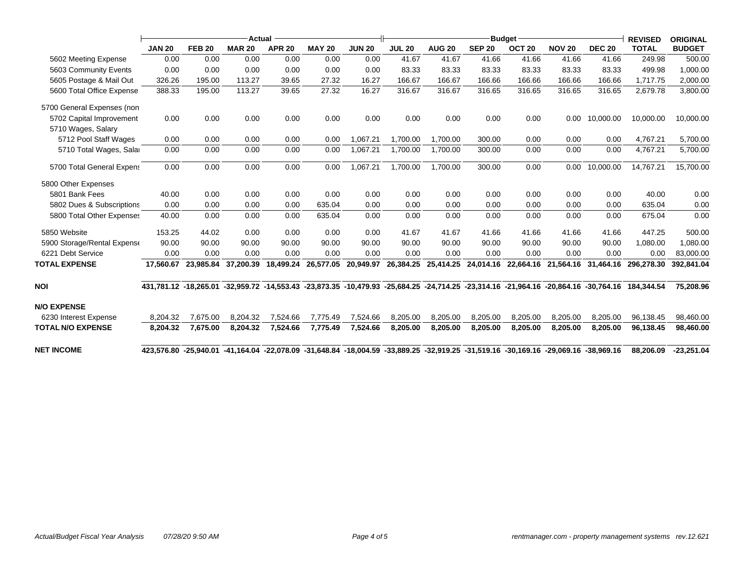|                             | Actual                |               |               |               |               |               | <b>Budget</b> |                                                                                                                                    |               |                   |                     |               | <b>REVISED</b>                                                                                                           | <b>ORIGINAL</b> |
|-----------------------------|-----------------------|---------------|---------------|---------------|---------------|---------------|---------------|------------------------------------------------------------------------------------------------------------------------------------|---------------|-------------------|---------------------|---------------|--------------------------------------------------------------------------------------------------------------------------|-----------------|
|                             | <b>JAN 20</b>         | <b>FEB 20</b> | <b>MAR 20</b> | <b>APR 20</b> | <b>MAY 20</b> | <b>JUN 20</b> | <b>JUL 20</b> | <b>AUG 20</b>                                                                                                                      | <b>SEP 20</b> | OCT <sub>20</sub> | <b>NOV 20</b>       | <b>DEC 20</b> | <b>TOTAL</b>                                                                                                             | <b>BUDGET</b>   |
| 5602 Meeting Expense        | 0.00                  | 0.00          | 0.00          | 0.00          | 0.00          | 0.00          | 41.67         | 41.67                                                                                                                              | 41.66         | 41.66             | 41.66               | 41.66         | 249.98                                                                                                                   | 500.00          |
| 5603 Community Events       | 0.00                  | 0.00          | 0.00          | 0.00          | 0.00          | 0.00          | 83.33         | 83.33                                                                                                                              | 83.33         | 83.33             | 83.33               | 83.33         | 499.98                                                                                                                   | 1,000.00        |
| 5605 Postage & Mail Out     | 326.26                | 195.00        | 113.27        | 39.65         | 27.32         | 16.27         | 166.67        | 166.67                                                                                                                             | 166.66        | 166.66            | 166.66              | 166.66        | 1,717.75                                                                                                                 | 2,000.00        |
| 5600 Total Office Expense   | 388.33                | 195.00        | 113.27        | 39.65         | 27.32         | 16.27         | 316.67        | 316.67                                                                                                                             | 316.65        | 316.65            | 316.65              | 316.65        | 2,679.78                                                                                                                 | 3,800.00        |
| 5700 General Expenses (non  |                       |               |               |               |               |               |               |                                                                                                                                    |               |                   |                     |               |                                                                                                                          |                 |
| 5702 Capital Improvement    | 0.00                  | 0.00          | 0.00          | 0.00          | 0.00          | 0.00          | 0.00          | 0.00                                                                                                                               | 0.00          | 0.00              | 0.00                | 10,000.00     | 10,000.00                                                                                                                | 10,000.00       |
| 5710 Wages, Salary          |                       |               |               |               |               |               |               |                                                                                                                                    |               |                   |                     |               |                                                                                                                          |                 |
| 5712 Pool Staff Wages       | 0.00                  | 0.00          | 0.00          | 0.00          | 0.00          | 1,067.21      | 1,700.00      | 1,700.00                                                                                                                           | 300.00        | 0.00              | 0.00                | 0.00          | 4,767.21                                                                                                                 | 5,700.00        |
| 5710 Total Wages, Salar     | 0.00                  | 0.00          | 0.00          | 0.00          | 0.00          | 1,067.21      | 1,700.00      | 1,700.00                                                                                                                           | 300.00        | 0.00              | 0.00                | 0.00          | 4,767.21                                                                                                                 | 5,700.00        |
| 5700 Total General Expens   | 0.00                  | 0.00          | 0.00          | 0.00          | 0.00          | 1,067.21      | 1,700.00      | 1,700.00                                                                                                                           | 300.00        | 0.00              | 0.00                | 10,000.00     | 14,767.21                                                                                                                | 15,700.00       |
| 5800 Other Expenses         |                       |               |               |               |               |               |               |                                                                                                                                    |               |                   |                     |               |                                                                                                                          |                 |
| 5801 Bank Fees              | 40.00                 | 0.00          | 0.00          | 0.00          | 0.00          | 0.00          | 0.00          | 0.00                                                                                                                               | 0.00          | 0.00              | 0.00                | 0.00          | 40.00                                                                                                                    | 0.00            |
| 5802 Dues & Subscriptions   | 0.00                  | 0.00          | 0.00          | 0.00          | 635.04        | 0.00          | 0.00          | 0.00                                                                                                                               | 0.00          | 0.00              | 0.00                | 0.00          | 635.04                                                                                                                   | 0.00            |
| 5800 Total Other Expenses   | 40.00                 | 0.00          | 0.00          | 0.00          | 635.04        | 0.00          | 0.00          | 0.00                                                                                                                               | 0.00          | 0.00              | 0.00                | 0.00          | 675.04                                                                                                                   | 0.00            |
| 5850 Website                | 153.25                | 44.02         | 0.00          | 0.00          | 0.00          | 0.00          | 41.67         | 41.67                                                                                                                              | 41.66         | 41.66             | 41.66               | 41.66         | 447.25                                                                                                                   | 500.00          |
| 5900 Storage/Rental Expense | 90.00                 | 90.00         | 90.00         | 90.00         | 90.00         | 90.00         | 90.00         | 90.00                                                                                                                              | 90.00         | 90.00             | 90.00               | 90.00         | 1,080.00                                                                                                                 | 1,080.00        |
| 6221 Debt Service           | 0.00                  | 0.00          | 0.00          | 0.00          | 0.00          | 0.00          | 0.00          | 0.00                                                                                                                               | 0.00          | 0.00              | 0.00                | 0.00          | 0.00                                                                                                                     | 83,000.00       |
| <b>TOTAL EXPENSE</b>        | 17.560.67             | 23,985.84     | 37,200.39     | 18,499.24     | 26,577.05     | 20,949.97     | 26,384.25     | 25,414.25                                                                                                                          | 24,014.16     | 22,664.16         | 21,564.16 31,464.16 |               | 296.278.30                                                                                                               | 392,841.04      |
| NOI                         | 431.781.12 -18.265.01 |               |               |               |               |               |               |                                                                                                                                    |               |                   |                     |               | -32,959.72 -14,553.43 -23,873.35 -10,479.93 -25,684.25 -24,714.25 -23,314.16 -21,964.16 -20,864.16 -30,764.16 184,344.54 | 75.208.96       |
| <b>N/O EXPENSE</b>          |                       |               |               |               |               |               |               |                                                                                                                                    |               |                   |                     |               |                                                                                                                          |                 |
| 6230 Interest Expense       | 8,204.32              | 7,675.00      | 8,204.32      | 7,524.66      | 7,775.49      | 7,524.66      | 8,205.00      | 8,205.00                                                                                                                           | 8,205.00      | 8,205.00          | 8,205.00            | 8,205.00      | 96,138.45                                                                                                                | 98,460.00       |
| <b>TOTAL N/O EXPENSE</b>    | 8,204.32              | 7,675.00      | 8,204.32      | 7,524.66      | 7,775.49      | 7,524.66      | 8,205.00      | 8,205.00                                                                                                                           | 8,205.00      | 8,205.00          | 8,205.00            | 8,205.00      | 96,138.45                                                                                                                | 98,460.00       |
| <b>NET INCOME</b>           |                       |               |               |               |               |               |               | 41,164.04 -25,940.01 -41,164.04 -22,078.09 -31,648.84 -18,004.59 -33,889.25 -32,919.25 -31,519.16 -30,169.16 -29,069.16 -38,969.16 |               |                   |                     |               | 88,206.09                                                                                                                | $-23,251.04$    |